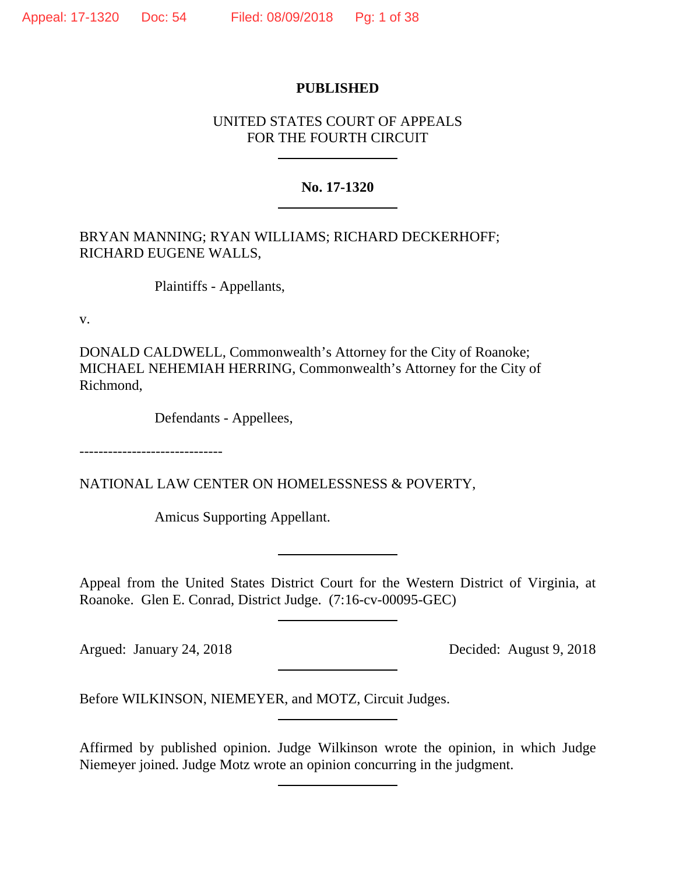### **PUBLISHED**

# UNITED STATES COURT OF APPEALS FOR THE FOURTH CIRCUIT

### **No. 17-1320**

BRYAN MANNING; RYAN WILLIAMS; RICHARD DECKERHOFF; RICHARD EUGENE WALLS,

Plaintiffs - Appellants,

v.

DONALD CALDWELL, Commonwealth's Attorney for the City of Roanoke; MICHAEL NEHEMIAH HERRING, Commonwealth's Attorney for the City of Richmond,

Defendants - Appellees,

------------------------------

NATIONAL LAW CENTER ON HOMELESSNESS & POVERTY,

Amicus Supporting Appellant.

Appeal from the United States District Court for the Western District of Virginia, at Roanoke. Glen E. Conrad, District Judge. (7:16-cv-00095-GEC)

Argued: January 24, 2018 Decided: August 9, 2018

Before WILKINSON, NIEMEYER, and MOTZ, Circuit Judges.

Affirmed by published opinion. Judge Wilkinson wrote the opinion, in which Judge Niemeyer joined. Judge Motz wrote an opinion concurring in the judgment.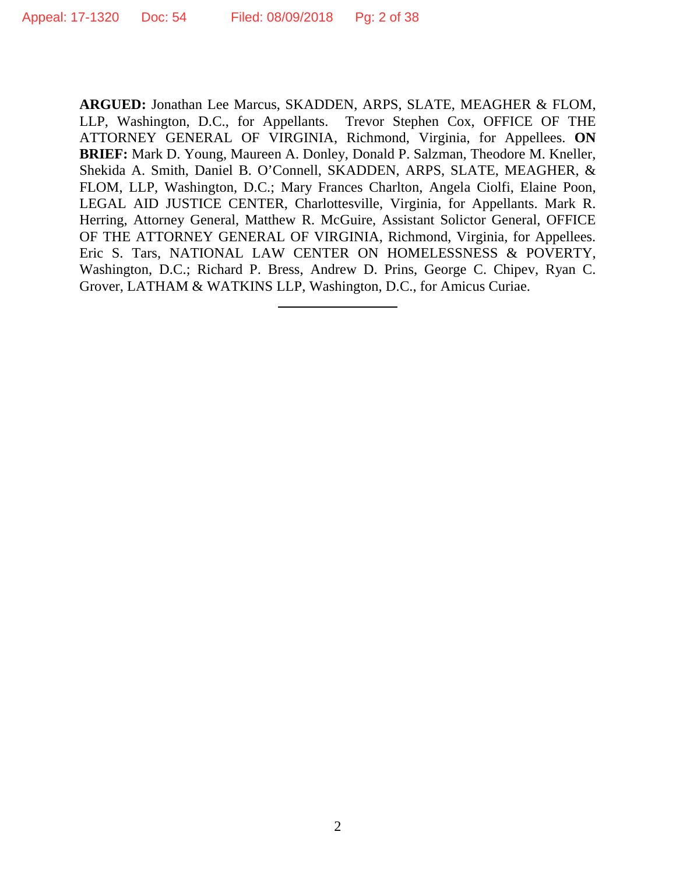**ARGUED:** Jonathan Lee Marcus, SKADDEN, ARPS, SLATE, MEAGHER & FLOM, LLP, Washington, D.C., for Appellants. Trevor Stephen Cox, OFFICE OF THE ATTORNEY GENERAL OF VIRGINIA, Richmond, Virginia, for Appellees. **ON BRIEF:** Mark D. Young, Maureen A. Donley, Donald P. Salzman, Theodore M. Kneller, Shekida A. Smith, Daniel B. O'Connell, SKADDEN, ARPS, SLATE, MEAGHER, & FLOM, LLP, Washington, D.C.; Mary Frances Charlton, Angela Ciolfi, Elaine Poon, LEGAL AID JUSTICE CENTER, Charlottesville, Virginia, for Appellants. Mark R. Herring, Attorney General, Matthew R. McGuire, Assistant Solictor General, OFFICE OF THE ATTORNEY GENERAL OF VIRGINIA, Richmond, Virginia, for Appellees. Eric S. Tars, NATIONAL LAW CENTER ON HOMELESSNESS & POVERTY, Washington, D.C.; Richard P. Bress, Andrew D. Prins, George C. Chipev, Ryan C. Grover, LATHAM & WATKINS LLP, Washington, D.C., for Amicus Curiae.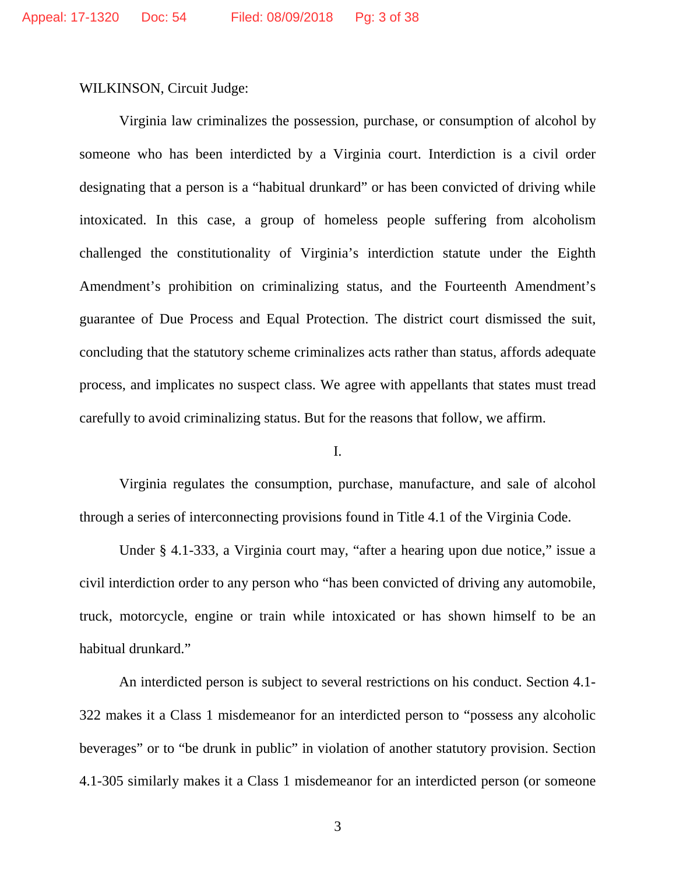WILKINSON, Circuit Judge:

Virginia law criminalizes the possession, purchase, or consumption of alcohol by someone who has been interdicted by a Virginia court. Interdiction is a civil order designating that a person is a "habitual drunkard" or has been convicted of driving while intoxicated. In this case, a group of homeless people suffering from alcoholism challenged the constitutionality of Virginia's interdiction statute under the Eighth Amendment's prohibition on criminalizing status, and the Fourteenth Amendment's guarantee of Due Process and Equal Protection. The district court dismissed the suit, concluding that the statutory scheme criminalizes acts rather than status, affords adequate process, and implicates no suspect class. We agree with appellants that states must tread carefully to avoid criminalizing status. But for the reasons that follow, we affirm.

I.

Virginia regulates the consumption, purchase, manufacture, and sale of alcohol through a series of interconnecting provisions found in Title 4.1 of the Virginia Code.

Under § 4.1-333, a Virginia court may, "after a hearing upon due notice," issue a civil interdiction order to any person who "has been convicted of driving any automobile, truck, motorcycle, engine or train while intoxicated or has shown himself to be an habitual drunkard."

An interdicted person is subject to several restrictions on his conduct. Section 4.1- 322 makes it a Class 1 misdemeanor for an interdicted person to "possess any alcoholic beverages" or to "be drunk in public" in violation of another statutory provision. Section 4.1-305 similarly makes it a Class 1 misdemeanor for an interdicted person (or someone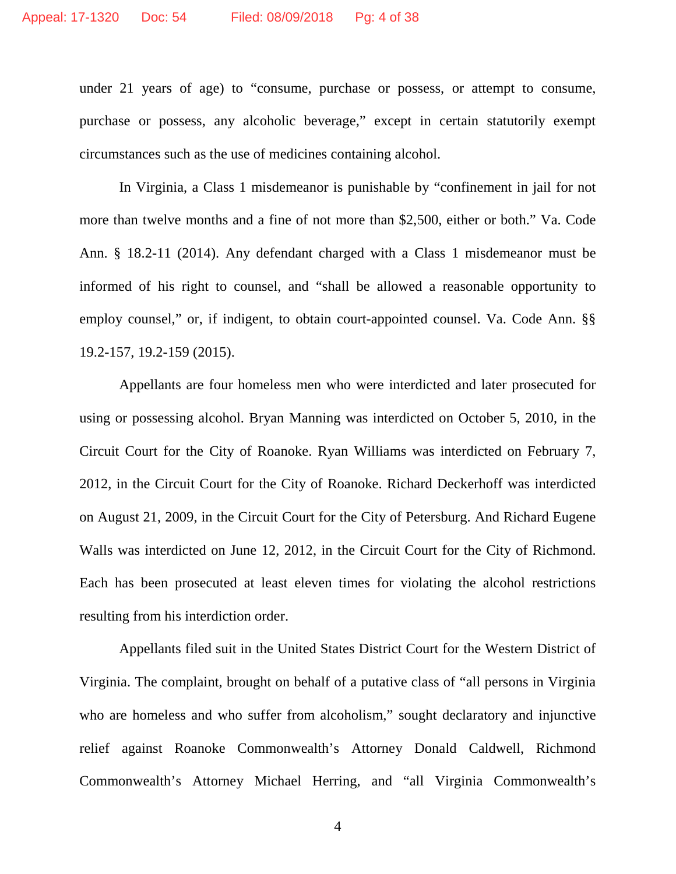under 21 years of age) to "consume, purchase or possess, or attempt to consume, purchase or possess, any alcoholic beverage," except in certain statutorily exempt circumstances such as the use of medicines containing alcohol.

In Virginia, a Class 1 misdemeanor is punishable by "confinement in jail for not more than twelve months and a fine of not more than \$2,500, either or both." Va. Code Ann. § 18.2-11 (2014). Any defendant charged with a Class 1 misdemeanor must be informed of his right to counsel, and "shall be allowed a reasonable opportunity to employ counsel," or, if indigent, to obtain court-appointed counsel. Va. Code Ann. §§ 19.2-157, 19.2-159 (2015).

Appellants are four homeless men who were interdicted and later prosecuted for using or possessing alcohol. Bryan Manning was interdicted on October 5, 2010, in the Circuit Court for the City of Roanoke. Ryan Williams was interdicted on February 7, 2012, in the Circuit Court for the City of Roanoke. Richard Deckerhoff was interdicted on August 21, 2009, in the Circuit Court for the City of Petersburg. And Richard Eugene Walls was interdicted on June 12, 2012, in the Circuit Court for the City of Richmond. Each has been prosecuted at least eleven times for violating the alcohol restrictions resulting from his interdiction order.

Appellants filed suit in the United States District Court for the Western District of Virginia. The complaint, brought on behalf of a putative class of "all persons in Virginia who are homeless and who suffer from alcoholism," sought declaratory and injunctive relief against Roanoke Commonwealth's Attorney Donald Caldwell, Richmond Commonwealth's Attorney Michael Herring, and "all Virginia Commonwealth's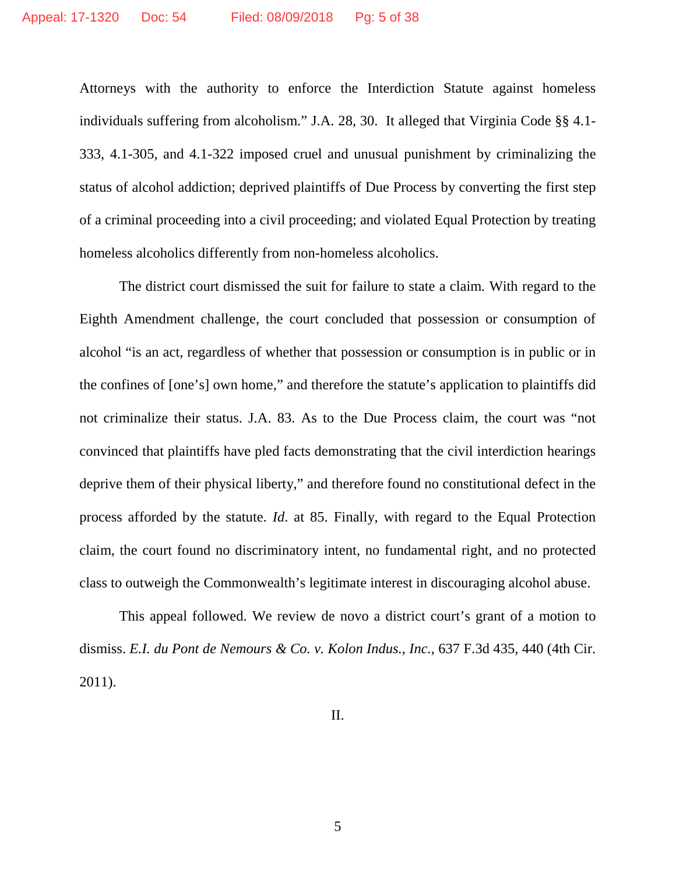Attorneys with the authority to enforce the Interdiction Statute against homeless individuals suffering from alcoholism." J.A. 28, 30. It alleged that Virginia Code §§ 4.1- 333, 4.1-305, and 4.1-322 imposed cruel and unusual punishment by criminalizing the status of alcohol addiction; deprived plaintiffs of Due Process by converting the first step of a criminal proceeding into a civil proceeding; and violated Equal Protection by treating homeless alcoholics differently from non-homeless alcoholics.

The district court dismissed the suit for failure to state a claim. With regard to the Eighth Amendment challenge, the court concluded that possession or consumption of alcohol "is an act, regardless of whether that possession or consumption is in public or in the confines of [one's] own home," and therefore the statute's application to plaintiffs did not criminalize their status. J.A. 83. As to the Due Process claim, the court was "not convinced that plaintiffs have pled facts demonstrating that the civil interdiction hearings deprive them of their physical liberty," and therefore found no constitutional defect in the process afforded by the statute. *Id*. at 85. Finally, with regard to the Equal Protection claim, the court found no discriminatory intent, no fundamental right, and no protected class to outweigh the Commonwealth's legitimate interest in discouraging alcohol abuse.

This appeal followed. We review de novo a district court's grant of a motion to dismiss. *E.I. du Pont de Nemours & Co. v. Kolon Indus., Inc.*, 637 F.3d 435, 440 (4th Cir. 2011).

II.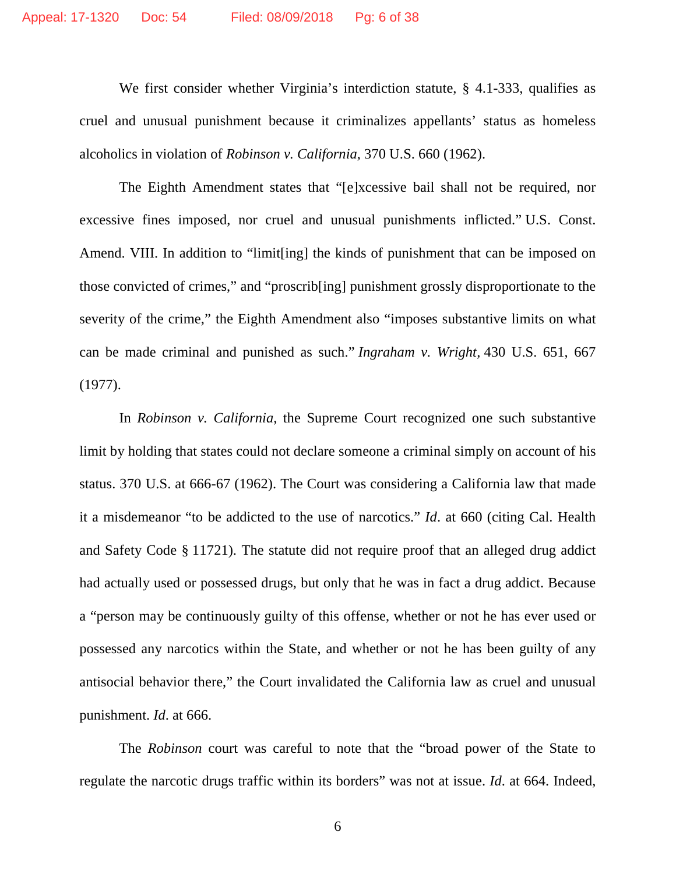We first consider whether Virginia's interdiction statute, § 4.1-333, qualifies as cruel and unusual punishment because it criminalizes appellants' status as homeless alcoholics in violation of *Robinson v. California*, 370 U.S. 660 (1962).

The Eighth Amendment states that "[e]xcessive bail shall not be required, nor excessive fines imposed, nor cruel and unusual punishments inflicted." U.S. Const. Amend. VIII. In addition to "limit[ing] the kinds of punishment that can be imposed on those convicted of crimes," and "proscrib[ing] punishment grossly disproportionate to the severity of the crime," the Eighth Amendment also "imposes substantive limits on what can be made criminal and punished as such." *Ingraham v. Wright,* 430 U.S. 651, 667 (1977).

In *Robinson v. California*, the Supreme Court recognized one such substantive limit by holding that states could not declare someone a criminal simply on account of his status. 370 U.S. at 666-67 (1962). The Court was considering a California law that made it a misdemeanor "to be addicted to the use of narcotics." *Id*. at 660 (citing Cal. Health and Safety Code § 11721). The statute did not require proof that an alleged drug addict had actually used or possessed drugs, but only that he was in fact a drug addict. Because a "person may be continuously guilty of this offense, whether or not he has ever used or possessed any narcotics within the State, and whether or not he has been guilty of any antisocial behavior there," the Court invalidated the California law as cruel and unusual punishment. *Id*. at 666.

The *Robinson* court was careful to note that the "broad power of the State to regulate the narcotic drugs traffic within its borders" was not at issue. *Id*. at 664. Indeed,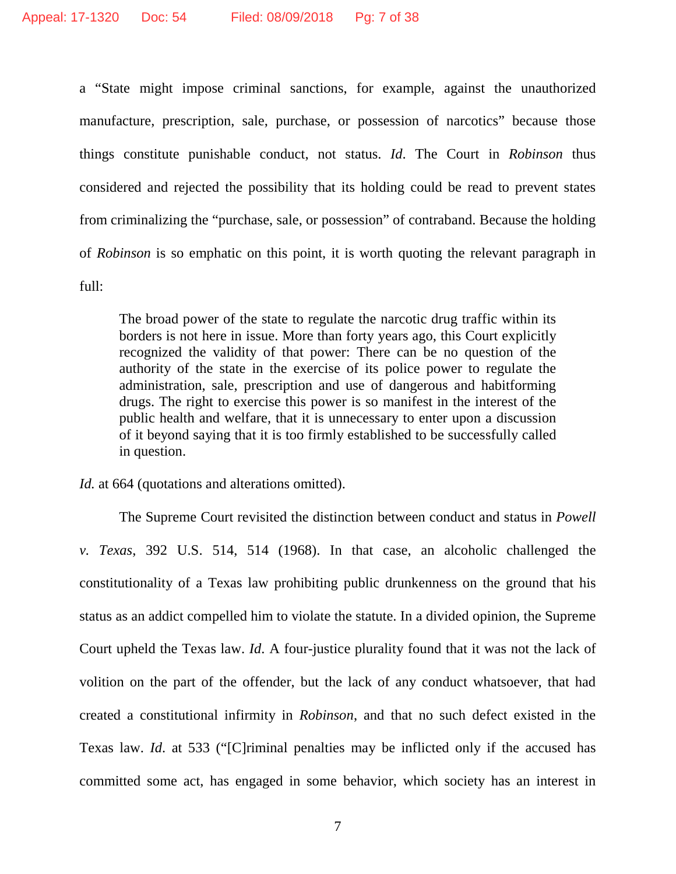a "State might impose criminal sanctions, for example, against the unauthorized manufacture, prescription, sale, purchase, or possession of narcotics" because those things constitute punishable conduct, not status. *Id*. The Court in *Robinson* thus considered and rejected the possibility that its holding could be read to prevent states from criminalizing the "purchase, sale, or possession" of contraband. Because the holding of *Robinson* is so emphatic on this point, it is worth quoting the relevant paragraph in full:

The broad power of the state to regulate the narcotic drug traffic within its borders is not here in issue. More than forty years ago, this Court explicitly recognized the validity of that power: There can be no question of the authority of the state in the exercise of its police power to regulate the administration, sale, prescription and use of dangerous and habitforming drugs. The right to exercise this power is so manifest in the interest of the public health and welfare, that it is unnecessary to enter upon a discussion of it beyond saying that it is too firmly established to be successfully called in question.

*Id.* at 664 (quotations and alterations omitted).

The Supreme Court revisited the distinction between conduct and status in *Powell v. Texas*, 392 U.S. 514, 514 (1968). In that case, an alcoholic challenged the constitutionality of a Texas law prohibiting public drunkenness on the ground that his status as an addict compelled him to violate the statute. In a divided opinion, the Supreme Court upheld the Texas law. *Id*. A four-justice plurality found that it was not the lack of volition on the part of the offender, but the lack of any conduct whatsoever, that had created a constitutional infirmity in *Robinson*, and that no such defect existed in the Texas law. *Id*. at 533 ("[C]riminal penalties may be inflicted only if the accused has committed some act, has engaged in some behavior, which society has an interest in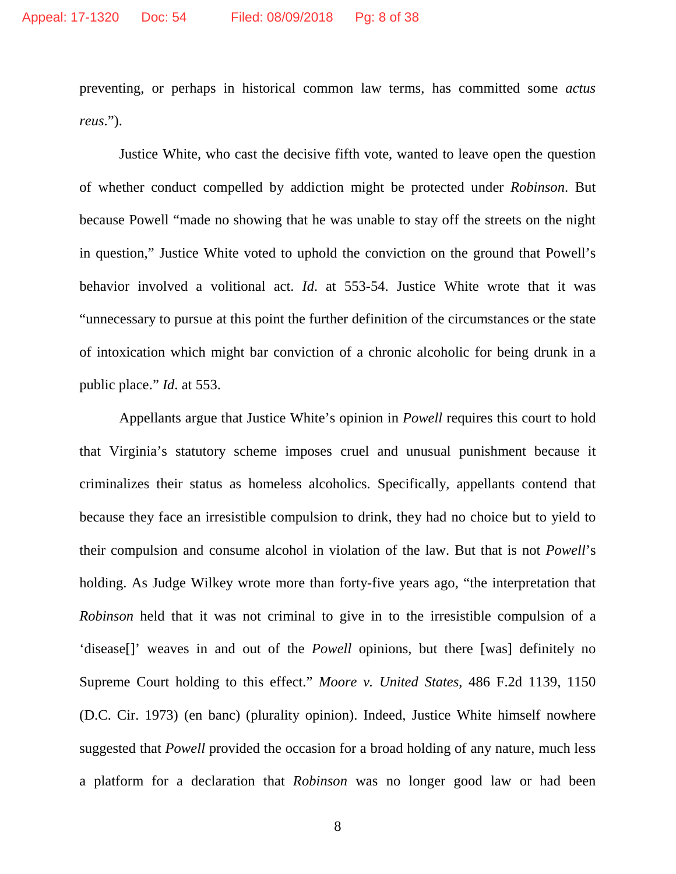preventing, or perhaps in historical common law terms, has committed some *actus reus*.").

Justice White, who cast the decisive fifth vote, wanted to leave open the question of whether conduct compelled by addiction might be protected under *Robinson*. But because Powell "made no showing that he was unable to stay off the streets on the night in question," Justice White voted to uphold the conviction on the ground that Powell's behavior involved a volitional act. *Id*. at 553-54. Justice White wrote that it was "unnecessary to pursue at this point the further definition of the circumstances or the state of intoxication which might bar conviction of a chronic alcoholic for being drunk in a public place." *Id*. at 553.

Appellants argue that Justice White's opinion in *Powell* requires this court to hold that Virginia's statutory scheme imposes cruel and unusual punishment because it criminalizes their status as homeless alcoholics. Specifically, appellants contend that because they face an irresistible compulsion to drink, they had no choice but to yield to their compulsion and consume alcohol in violation of the law. But that is not *Powell*'s holding. As Judge Wilkey wrote more than forty-five years ago, "the interpretation that *Robinson* held that it was not criminal to give in to the irresistible compulsion of a 'disease[]' weaves in and out of the *Powell* opinions, but there [was] definitely no Supreme Court holding to this effect." *Moore v. United States*, 486 F.2d 1139, 1150 (D.C. Cir. 1973) (en banc) (plurality opinion). Indeed, Justice White himself nowhere suggested that *Powell* provided the occasion for a broad holding of any nature, much less a platform for a declaration that *Robinson* was no longer good law or had been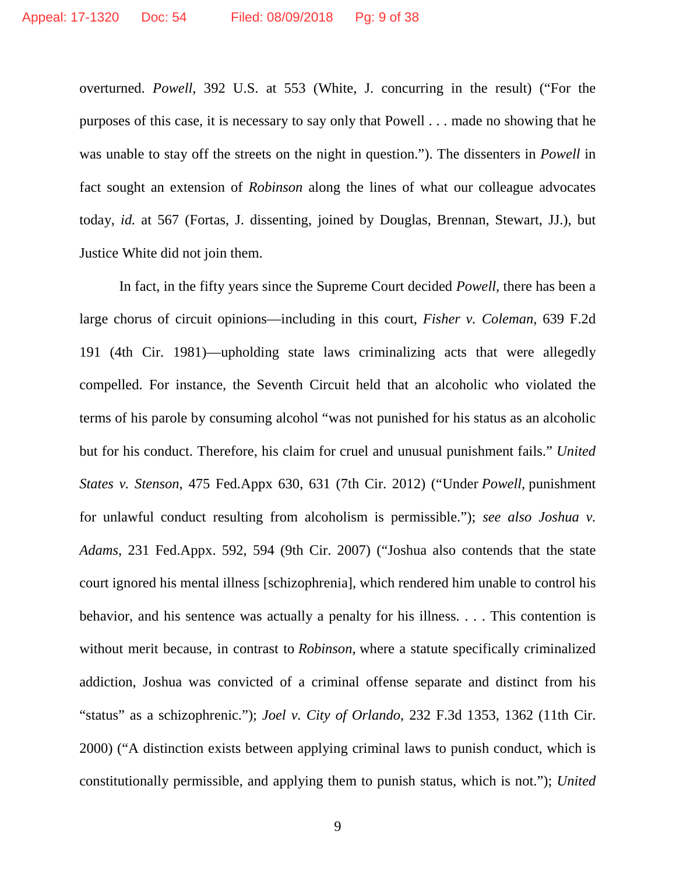overturned. *Powell*, 392 U.S. at 553 (White, J. concurring in the result) ("For the purposes of this case, it is necessary to say only that Powell . . . made no showing that he was unable to stay off the streets on the night in question."). The dissenters in *Powell* in fact sought an extension of *Robinson* along the lines of what our colleague advocates today, *id.* at 567 (Fortas, J. dissenting, joined by Douglas, Brennan, Stewart, JJ.), but Justice White did not join them.

In fact, in the fifty years since the Supreme Court decided *Powell*, there has been a large chorus of circuit opinions—including in this court, *Fisher v. Coleman*, 639 F.2d 191 (4th Cir. 1981)—upholding state laws criminalizing acts that were allegedly compelled. For instance, the Seventh Circuit held that an alcoholic who violated the terms of his parole by consuming alcohol "was not punished for his status as an alcoholic but for his conduct. Therefore, his claim for cruel and unusual punishment fails." *United States v. Stenson*, 475 Fed.Appx 630, 631 (7th Cir. 2012) ("Under *Powell,* punishment for unlawful conduct resulting from alcoholism is permissible."); *see also Joshua v. Adams*, 231 Fed.Appx. 592, 594 (9th Cir. 2007) ("Joshua also contends that the state court ignored his mental illness [schizophrenia], which rendered him unable to control his behavior, and his sentence was actually a penalty for his illness. . . . This contention is without merit because, in contrast to *Robinson,* where a statute specifically criminalized addiction, Joshua was convicted of a criminal offense separate and distinct from his "status" as a schizophrenic."); *Joel v. City of Orlando*, 232 F.3d 1353, 1362 (11th Cir. 2000) ("A distinction exists between applying criminal laws to punish conduct, which is constitutionally permissible, and applying them to punish status, which is not."); *United*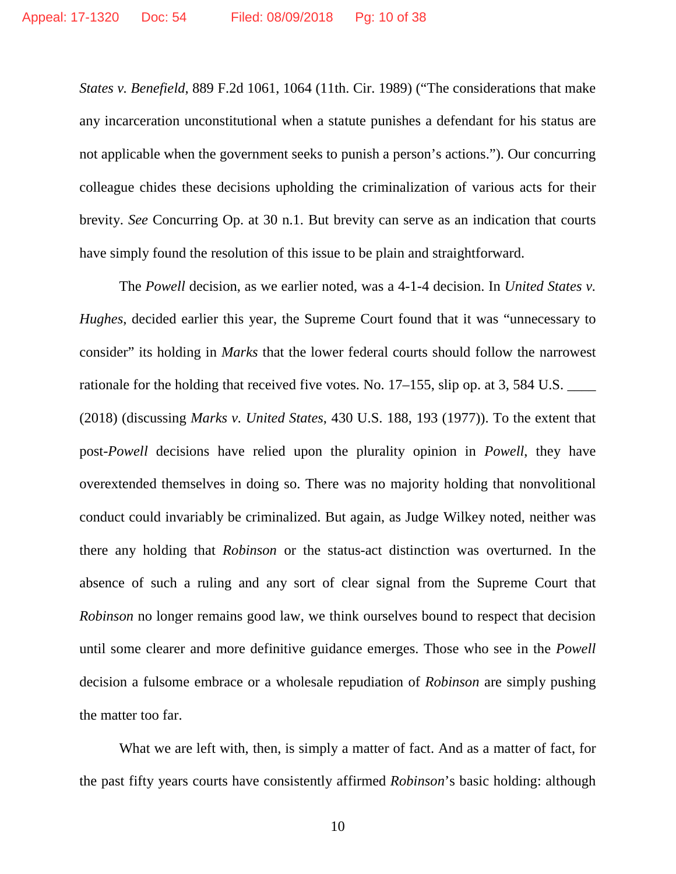*States v. Benefield*, 889 F.2d 1061, 1064 (11th. Cir. 1989) ("The considerations that make any incarceration unconstitutional when a statute punishes a defendant for his status are not applicable when the government seeks to punish a person's actions."). Our concurring colleague chides these decisions upholding the criminalization of various acts for their brevity. *See* Concurring Op. at 30 n.1. But brevity can serve as an indication that courts have simply found the resolution of this issue to be plain and straightforward.

The *Powell* decision, as we earlier noted, was a 4-1-4 decision. In *United States v. Hughes*, decided earlier this year, the Supreme Court found that it was "unnecessary to consider" its holding in *Marks* that the lower federal courts should follow the narrowest rationale for the holding that received five votes. No. 17–155, slip op. at 3, 584 U.S. (2018) (discussing *Marks v. United States*, 430 U.S. 188, 193 (1977)). To the extent that post-*Powell* decisions have relied upon the plurality opinion in *Powell*, they have overextended themselves in doing so. There was no majority holding that nonvolitional conduct could invariably be criminalized. But again, as Judge Wilkey noted, neither was there any holding that *Robinson* or the status-act distinction was overturned. In the absence of such a ruling and any sort of clear signal from the Supreme Court that *Robinson* no longer remains good law, we think ourselves bound to respect that decision until some clearer and more definitive guidance emerges. Those who see in the *Powell*  decision a fulsome embrace or a wholesale repudiation of *Robinson* are simply pushing the matter too far.

What we are left with, then, is simply a matter of fact. And as a matter of fact, for the past fifty years courts have consistently affirmed *Robinson*'s basic holding: although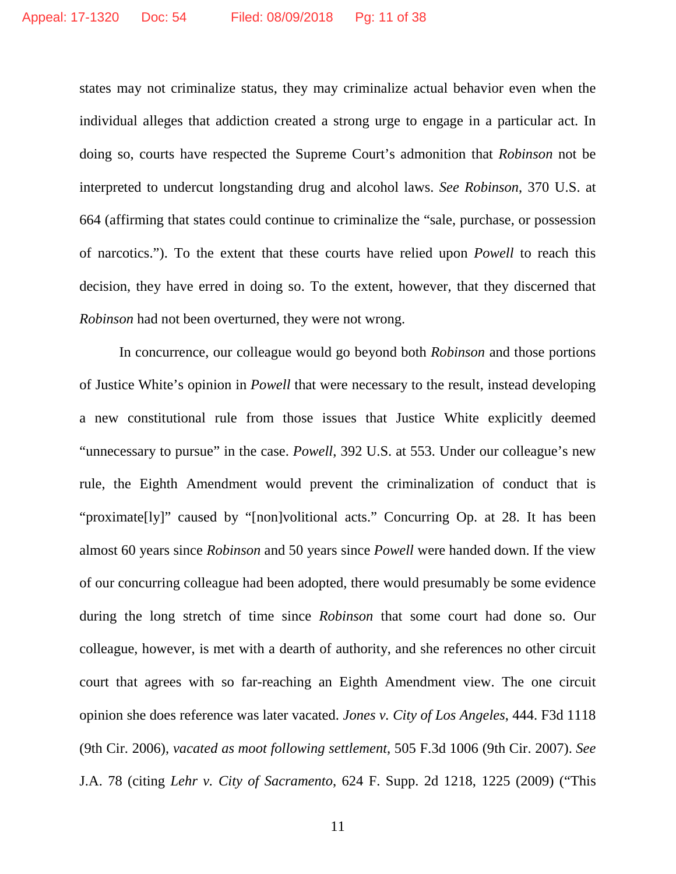states may not criminalize status, they may criminalize actual behavior even when the individual alleges that addiction created a strong urge to engage in a particular act. In doing so, courts have respected the Supreme Court's admonition that *Robinson* not be interpreted to undercut longstanding drug and alcohol laws. *See Robinson*, 370 U.S. at 664 (affirming that states could continue to criminalize the "sale, purchase, or possession of narcotics."). To the extent that these courts have relied upon *Powell* to reach this decision, they have erred in doing so. To the extent, however, that they discerned that *Robinson* had not been overturned, they were not wrong.

In concurrence, our colleague would go beyond both *Robinson* and those portions of Justice White's opinion in *Powell* that were necessary to the result, instead developing a new constitutional rule from those issues that Justice White explicitly deemed "unnecessary to pursue" in the case. *Powell*, 392 U.S. at 553. Under our colleague's new rule, the Eighth Amendment would prevent the criminalization of conduct that is "proximate[ly]" caused by "[non]volitional acts." Concurring Op. at 28. It has been almost 60 years since *Robinson* and 50 years since *Powell* were handed down. If the view of our concurring colleague had been adopted, there would presumably be some evidence during the long stretch of time since *Robinson* that some court had done so. Our colleague, however, is met with a dearth of authority, and she references no other circuit court that agrees with so far-reaching an Eighth Amendment view. The one circuit opinion she does reference was later vacated. *Jones v. City of Los Angeles*, 444. F3d 1118 (9th Cir. 2006), *vacated as moot following settlement*, 505 F.3d 1006 (9th Cir. 2007). *See*  J.A. 78 (citing *Lehr v. City of Sacramento*, 624 F. Supp. 2d 1218, 1225 (2009) ("This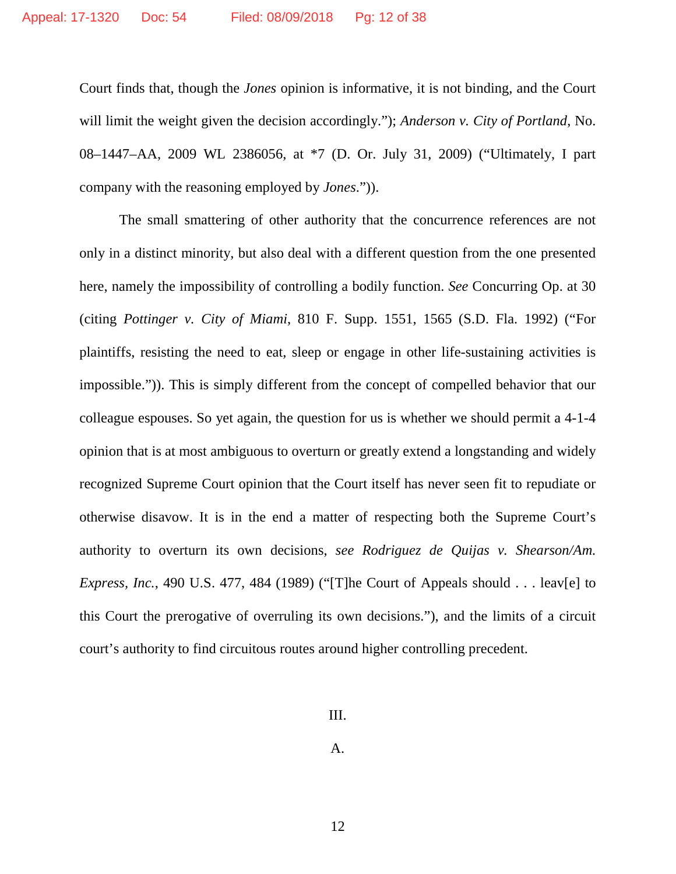Court finds that, though the *Jones* opinion is informative, it is not binding, and the Court will limit the weight given the decision accordingly."); *Anderson v. City of Portland*, No. 08–1447–AA, 2009 WL 2386056, at \*7 (D. Or. July 31, 2009) ("Ultimately, I part company with the reasoning employed by *Jones*.")).

The small smattering of other authority that the concurrence references are not only in a distinct minority, but also deal with a different question from the one presented here, namely the impossibility of controlling a bodily function. *See* Concurring Op. at 30 (citing *Pottinger v. City of Miami*, 810 F. Supp. 1551, 1565 (S.D. Fla. 1992) ("For plaintiffs, resisting the need to eat, sleep or engage in other life-sustaining activities is impossible.")). This is simply different from the concept of compelled behavior that our colleague espouses. So yet again, the question for us is whether we should permit a 4-1-4 opinion that is at most ambiguous to overturn or greatly extend a longstanding and widely recognized Supreme Court opinion that the Court itself has never seen fit to repudiate or otherwise disavow. It is in the end a matter of respecting both the Supreme Court's authority to overturn its own decisions, *see Rodriguez de Quijas v. Shearson/Am. Express, Inc.*, 490 U.S. 477, 484 (1989) ("[T]he Court of Appeals should . . . leav[e] to this Court the prerogative of overruling its own decisions."), and the limits of a circuit court's authority to find circuitous routes around higher controlling precedent.

III.

A.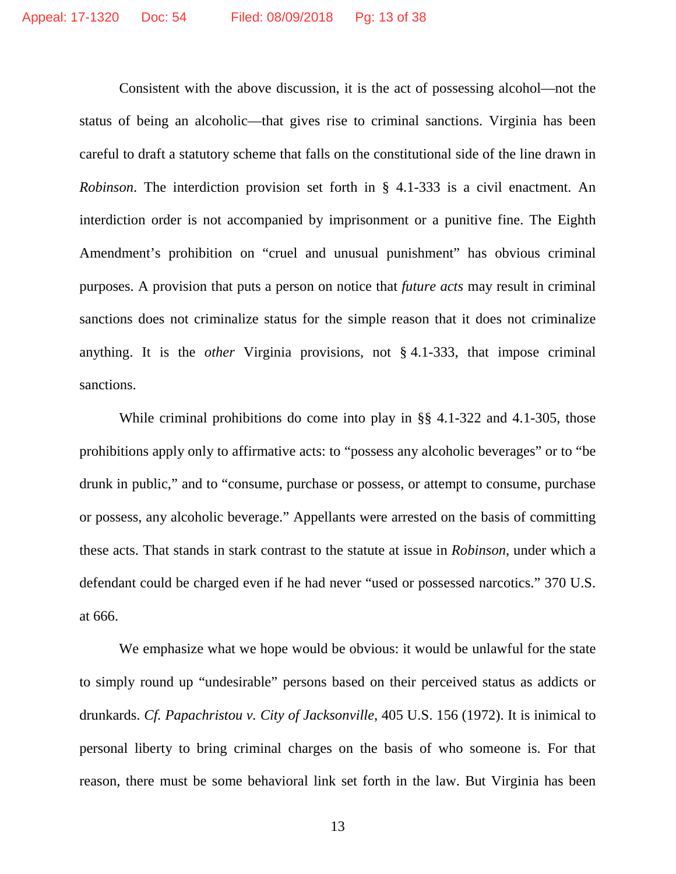Consistent with the above discussion, it is the act of possessing alcohol—not the status of being an alcoholic—that gives rise to criminal sanctions. Virginia has been careful to draft a statutory scheme that falls on the constitutional side of the line drawn in *Robinson*. The interdiction provision set forth in § 4.1-333 is a civil enactment. An interdiction order is not accompanied by imprisonment or a punitive fine. The Eighth Amendment's prohibition on "cruel and unusual punishment" has obvious criminal purposes. A provision that puts a person on notice that *future acts* may result in criminal sanctions does not criminalize status for the simple reason that it does not criminalize anything. It is the *other* Virginia provisions, not § 4.1-333, that impose criminal sanctions.

While criminal prohibitions do come into play in §§ 4.1-322 and 4.1-305, those prohibitions apply only to affirmative acts: to "possess any alcoholic beverages" or to "be drunk in public," and to "consume, purchase or possess, or attempt to consume, purchase or possess, any alcoholic beverage." Appellants were arrested on the basis of committing these acts. That stands in stark contrast to the statute at issue in *Robinson*, under which a defendant could be charged even if he had never "used or possessed narcotics." 370 U.S. at 666.

We emphasize what we hope would be obvious: it would be unlawful for the state to simply round up "undesirable" persons based on their perceived status as addicts or drunkards. *Cf. Papachristou v. City of Jacksonville*, 405 U.S. 156 (1972). It is inimical to personal liberty to bring criminal charges on the basis of who someone is. For that reason, there must be some behavioral link set forth in the law. But Virginia has been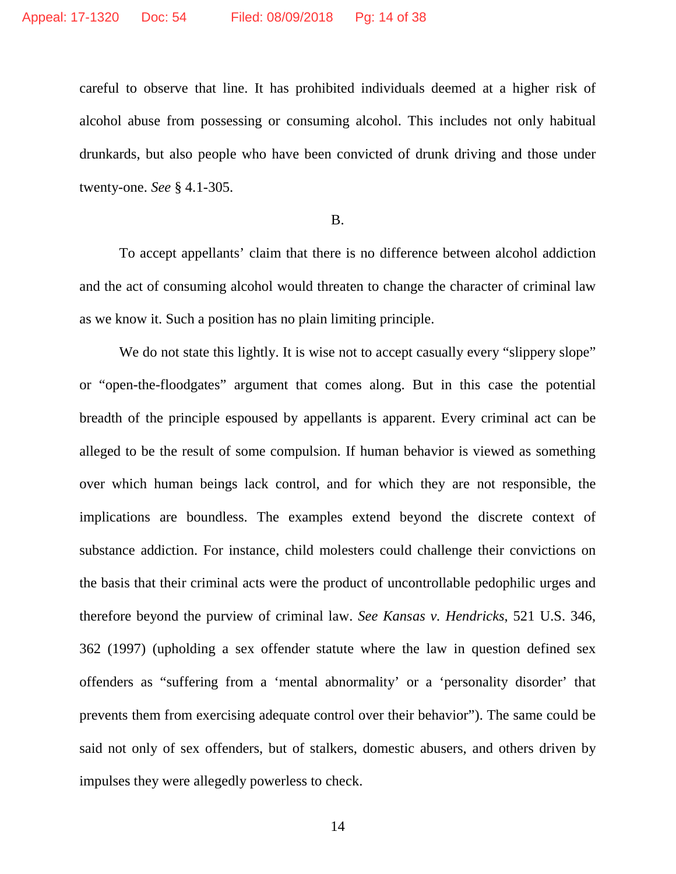careful to observe that line. It has prohibited individuals deemed at a higher risk of alcohol abuse from possessing or consuming alcohol. This includes not only habitual drunkards, but also people who have been convicted of drunk driving and those under twenty-one. *See* § 4.1-305.

#### B.

To accept appellants' claim that there is no difference between alcohol addiction and the act of consuming alcohol would threaten to change the character of criminal law as we know it. Such a position has no plain limiting principle.

We do not state this lightly. It is wise not to accept casually every "slippery slope" or "open-the-floodgates" argument that comes along. But in this case the potential breadth of the principle espoused by appellants is apparent. Every criminal act can be alleged to be the result of some compulsion. If human behavior is viewed as something over which human beings lack control, and for which they are not responsible, the implications are boundless. The examples extend beyond the discrete context of substance addiction. For instance, child molesters could challenge their convictions on the basis that their criminal acts were the product of uncontrollable pedophilic urges and therefore beyond the purview of criminal law. *See Kansas v. Hendricks*, 521 U.S. 346, 362 (1997) (upholding a sex offender statute where the law in question defined sex offenders as "suffering from a 'mental abnormality' or a 'personality disorder' that prevents them from exercising adequate control over their behavior"). The same could be said not only of sex offenders, but of stalkers, domestic abusers, and others driven by impulses they were allegedly powerless to check.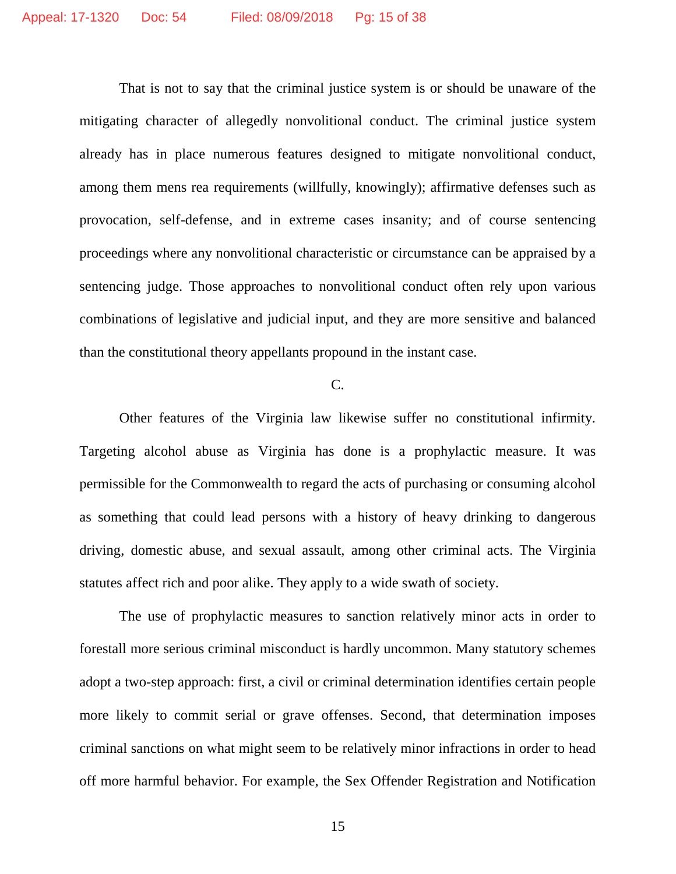That is not to say that the criminal justice system is or should be unaware of the mitigating character of allegedly nonvolitional conduct. The criminal justice system already has in place numerous features designed to mitigate nonvolitional conduct, among them mens rea requirements (willfully, knowingly); affirmative defenses such as provocation, self-defense, and in extreme cases insanity; and of course sentencing proceedings where any nonvolitional characteristic or circumstance can be appraised by a sentencing judge. Those approaches to nonvolitional conduct often rely upon various combinations of legislative and judicial input, and they are more sensitive and balanced than the constitutional theory appellants propound in the instant case.

### C.

Other features of the Virginia law likewise suffer no constitutional infirmity. Targeting alcohol abuse as Virginia has done is a prophylactic measure. It was permissible for the Commonwealth to regard the acts of purchasing or consuming alcohol as something that could lead persons with a history of heavy drinking to dangerous driving, domestic abuse, and sexual assault, among other criminal acts. The Virginia statutes affect rich and poor alike. They apply to a wide swath of society.

The use of prophylactic measures to sanction relatively minor acts in order to forestall more serious criminal misconduct is hardly uncommon. Many statutory schemes adopt a two-step approach: first, a civil or criminal determination identifies certain people more likely to commit serial or grave offenses. Second, that determination imposes criminal sanctions on what might seem to be relatively minor infractions in order to head off more harmful behavior. For example, the Sex Offender Registration and Notification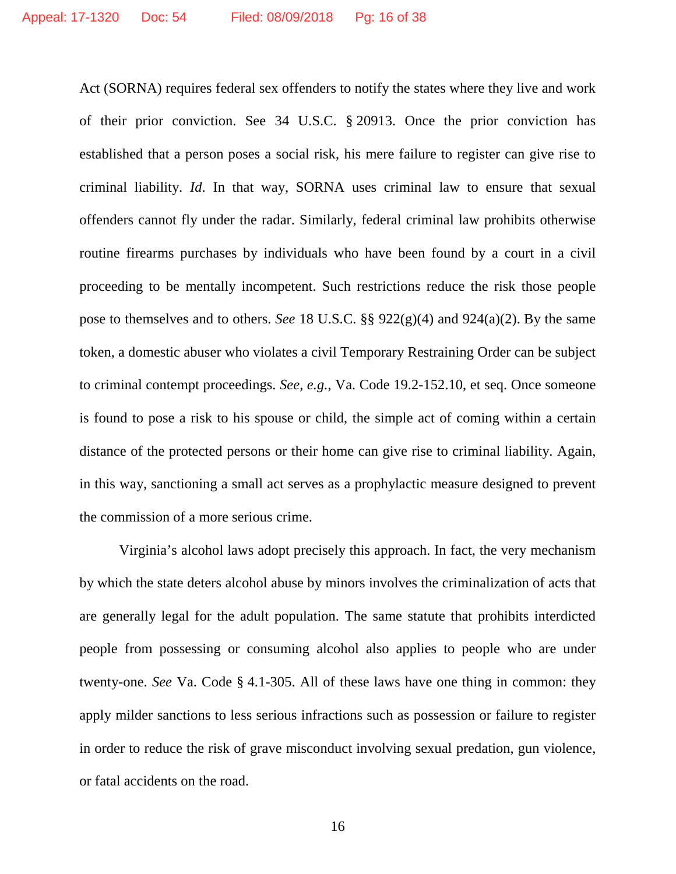Act (SORNA) requires federal sex offenders to notify the states where they live and work of their prior conviction. See 34 U.S.C. § 20913. Once the prior conviction has established that a person poses a social risk, his mere failure to register can give rise to criminal liability. *Id*. In that way, SORNA uses criminal law to ensure that sexual offenders cannot fly under the radar. Similarly, federal criminal law prohibits otherwise routine firearms purchases by individuals who have been found by a court in a civil proceeding to be mentally incompetent. Such restrictions reduce the risk those people pose to themselves and to others. *See* 18 U.S.C. §§ 922(g)(4) and 924(a)(2). By the same token, a domestic abuser who violates a civil Temporary Restraining Order can be subject to criminal contempt proceedings. *See, e.g.*, Va. Code 19.2-152.10, et seq. Once someone is found to pose a risk to his spouse or child, the simple act of coming within a certain distance of the protected persons or their home can give rise to criminal liability. Again, in this way, sanctioning a small act serves as a prophylactic measure designed to prevent the commission of a more serious crime.

Virginia's alcohol laws adopt precisely this approach. In fact, the very mechanism by which the state deters alcohol abuse by minors involves the criminalization of acts that are generally legal for the adult population. The same statute that prohibits interdicted people from possessing or consuming alcohol also applies to people who are under twenty-one. *See* Va. Code § 4.1-305. All of these laws have one thing in common: they apply milder sanctions to less serious infractions such as possession or failure to register in order to reduce the risk of grave misconduct involving sexual predation, gun violence, or fatal accidents on the road.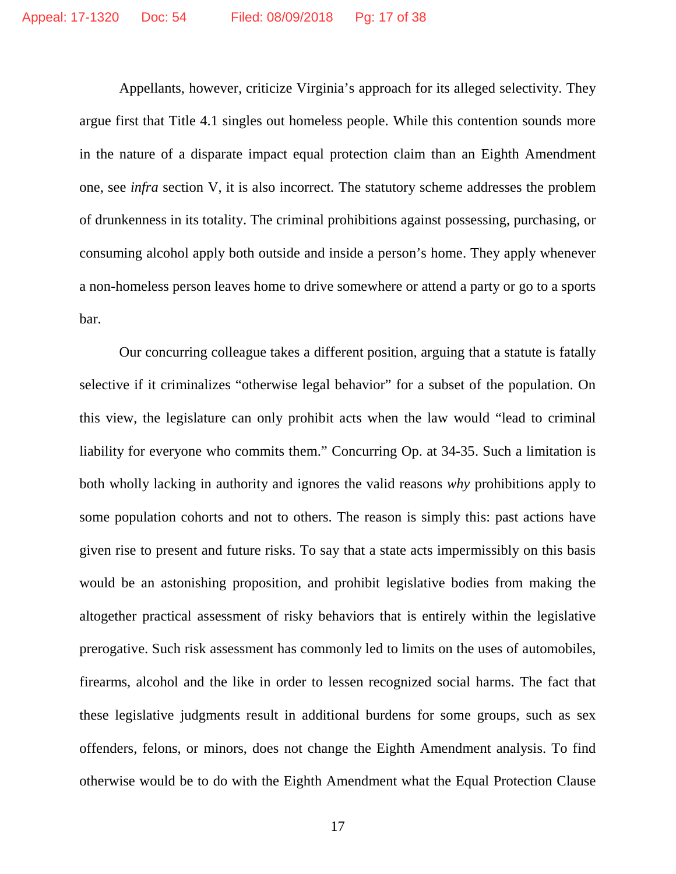Appellants, however, criticize Virginia's approach for its alleged selectivity. They argue first that Title 4.1 singles out homeless people. While this contention sounds more in the nature of a disparate impact equal protection claim than an Eighth Amendment one, see *infra* section V, it is also incorrect. The statutory scheme addresses the problem of drunkenness in its totality. The criminal prohibitions against possessing, purchasing, or consuming alcohol apply both outside and inside a person's home. They apply whenever a non-homeless person leaves home to drive somewhere or attend a party or go to a sports bar.

Our concurring colleague takes a different position, arguing that a statute is fatally selective if it criminalizes "otherwise legal behavior" for a subset of the population. On this view, the legislature can only prohibit acts when the law would "lead to criminal liability for everyone who commits them." Concurring Op. at 34-35. Such a limitation is both wholly lacking in authority and ignores the valid reasons *why* prohibitions apply to some population cohorts and not to others. The reason is simply this: past actions have given rise to present and future risks. To say that a state acts impermissibly on this basis would be an astonishing proposition, and prohibit legislative bodies from making the altogether practical assessment of risky behaviors that is entirely within the legislative prerogative. Such risk assessment has commonly led to limits on the uses of automobiles, firearms, alcohol and the like in order to lessen recognized social harms. The fact that these legislative judgments result in additional burdens for some groups, such as sex offenders, felons, or minors, does not change the Eighth Amendment analysis. To find otherwise would be to do with the Eighth Amendment what the Equal Protection Clause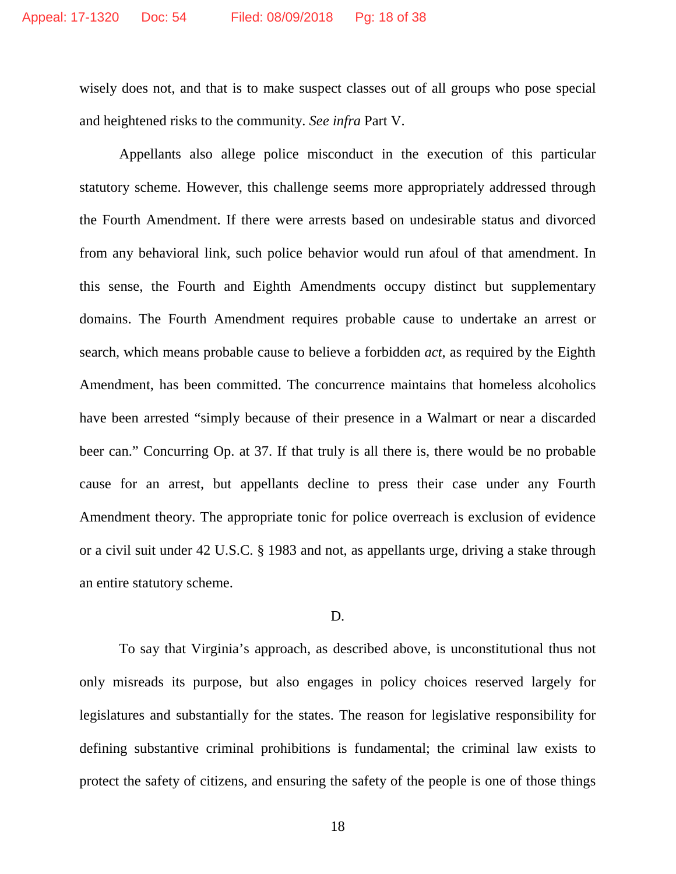wisely does not, and that is to make suspect classes out of all groups who pose special and heightened risks to the community. *See infra* Part V.

Appellants also allege police misconduct in the execution of this particular statutory scheme. However, this challenge seems more appropriately addressed through the Fourth Amendment. If there were arrests based on undesirable status and divorced from any behavioral link, such police behavior would run afoul of that amendment. In this sense, the Fourth and Eighth Amendments occupy distinct but supplementary domains. The Fourth Amendment requires probable cause to undertake an arrest or search, which means probable cause to believe a forbidden *act*, as required by the Eighth Amendment, has been committed. The concurrence maintains that homeless alcoholics have been arrested "simply because of their presence in a Walmart or near a discarded beer can." Concurring Op. at 37. If that truly is all there is, there would be no probable cause for an arrest, but appellants decline to press their case under any Fourth Amendment theory. The appropriate tonic for police overreach is exclusion of evidence or a civil suit under 42 U.S.C. § 1983 and not, as appellants urge, driving a stake through an entire statutory scheme.

#### D.

To say that Virginia's approach, as described above, is unconstitutional thus not only misreads its purpose, but also engages in policy choices reserved largely for legislatures and substantially for the states. The reason for legislative responsibility for defining substantive criminal prohibitions is fundamental; the criminal law exists to protect the safety of citizens, and ensuring the safety of the people is one of those things

18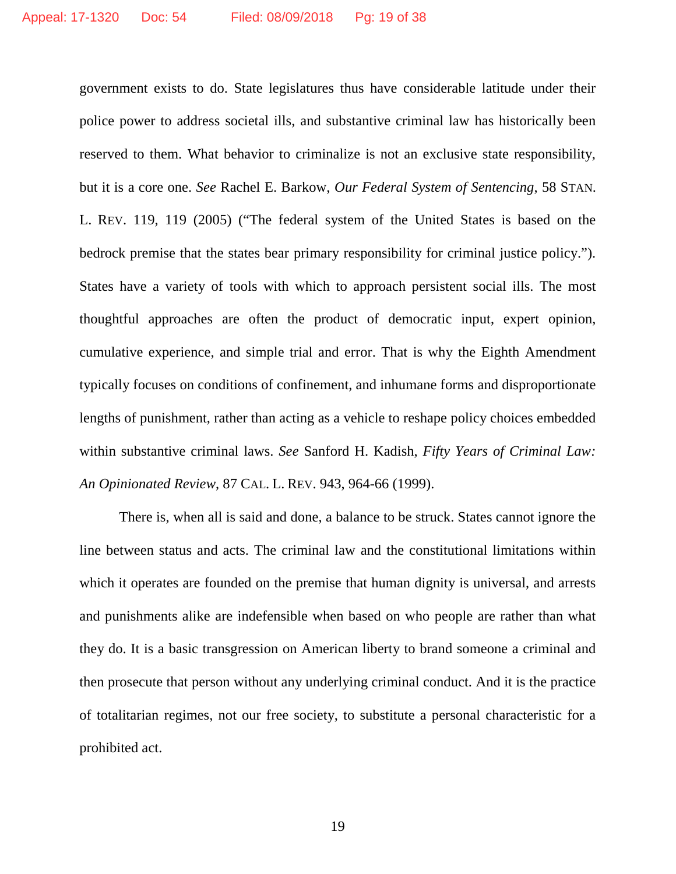government exists to do. State legislatures thus have considerable latitude under their police power to address societal ills, and substantive criminal law has historically been reserved to them. What behavior to criminalize is not an exclusive state responsibility, but it is a core one. *See* Rachel E. Barkow, *Our Federal System of Sentencing*, 58 STAN. L. REV. 119, 119 (2005) ("The federal system of the United States is based on the bedrock premise that the states bear primary responsibility for criminal justice policy."). States have a variety of tools with which to approach persistent social ills. The most thoughtful approaches are often the product of democratic input, expert opinion, cumulative experience, and simple trial and error. That is why the Eighth Amendment typically focuses on conditions of confinement, and inhumane forms and disproportionate lengths of punishment, rather than acting as a vehicle to reshape policy choices embedded within substantive criminal laws. *See* Sanford H. Kadish, *Fifty Years of Criminal Law: An Opinionated Review*, 87 CAL. L. REV. 943, 964-66 (1999).

There is, when all is said and done, a balance to be struck. States cannot ignore the line between status and acts. The criminal law and the constitutional limitations within which it operates are founded on the premise that human dignity is universal, and arrests and punishments alike are indefensible when based on who people are rather than what they do. It is a basic transgression on American liberty to brand someone a criminal and then prosecute that person without any underlying criminal conduct. And it is the practice of totalitarian regimes, not our free society, to substitute a personal characteristic for a prohibited act.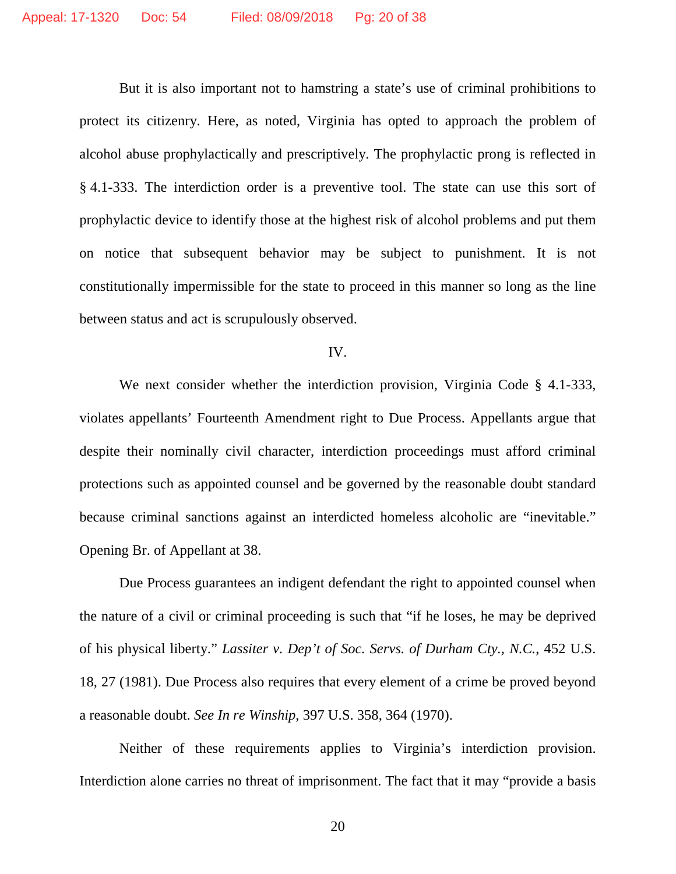But it is also important not to hamstring a state's use of criminal prohibitions to protect its citizenry. Here, as noted, Virginia has opted to approach the problem of alcohol abuse prophylactically and prescriptively. The prophylactic prong is reflected in § 4.1-333. The interdiction order is a preventive tool. The state can use this sort of prophylactic device to identify those at the highest risk of alcohol problems and put them on notice that subsequent behavior may be subject to punishment. It is not constitutionally impermissible for the state to proceed in this manner so long as the line between status and act is scrupulously observed.

#### IV.

We next consider whether the interdiction provision, Virginia Code § 4.1-333, violates appellants' Fourteenth Amendment right to Due Process. Appellants argue that despite their nominally civil character, interdiction proceedings must afford criminal protections such as appointed counsel and be governed by the reasonable doubt standard because criminal sanctions against an interdicted homeless alcoholic are "inevitable." Opening Br. of Appellant at 38.

Due Process guarantees an indigent defendant the right to appointed counsel when the nature of a civil or criminal proceeding is such that "if he loses, he may be deprived of his physical liberty." *Lassiter v. Dep't of Soc. Servs. of Durham Cty., N.C.*, 452 U.S. 18, 27 (1981). Due Process also requires that every element of a crime be proved beyond a reasonable doubt. *See In re Winship*, 397 U.S. 358, 364 (1970).

Neither of these requirements applies to Virginia's interdiction provision. Interdiction alone carries no threat of imprisonment. The fact that it may "provide a basis

20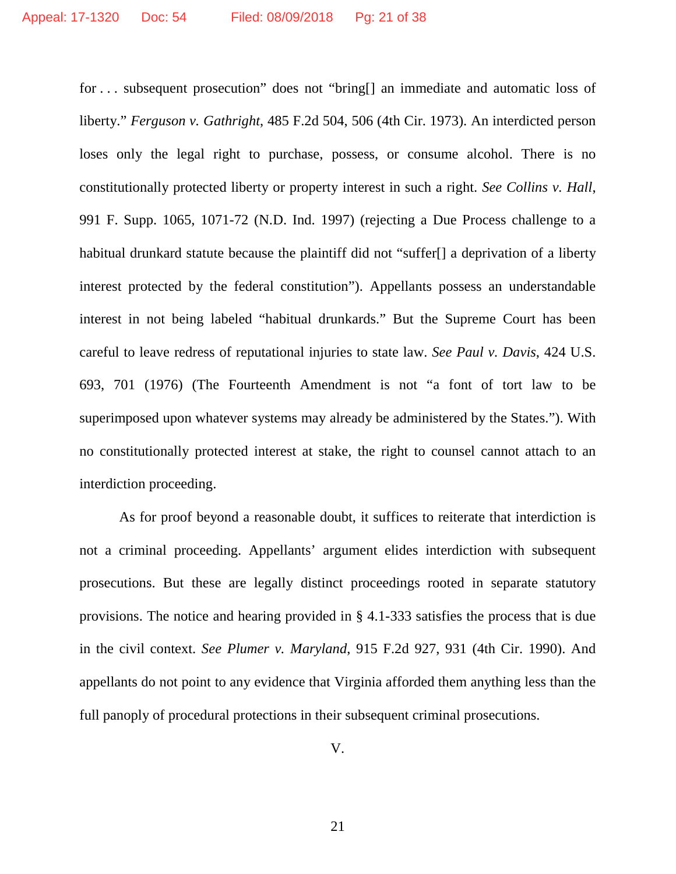for . . . subsequent prosecution" does not "bring[] an immediate and automatic loss of liberty." *Ferguson v. Gathright*, 485 F.2d 504, 506 (4th Cir. 1973). An interdicted person loses only the legal right to purchase, possess, or consume alcohol. There is no constitutionally protected liberty or property interest in such a right. *See Collins v. Hall*, 991 F. Supp. 1065, 1071-72 (N.D. Ind. 1997) (rejecting a Due Process challenge to a habitual drunkard statute because the plaintiff did not "suffer[] a deprivation of a liberty interest protected by the federal constitution"). Appellants possess an understandable interest in not being labeled "habitual drunkards." But the Supreme Court has been careful to leave redress of reputational injuries to state law. *See Paul v. Davis*, 424 U.S. 693, 701 (1976) (The Fourteenth Amendment is not "a font of tort law to be superimposed upon whatever systems may already be administered by the States."). With no constitutionally protected interest at stake, the right to counsel cannot attach to an interdiction proceeding.

As for proof beyond a reasonable doubt, it suffices to reiterate that interdiction is not a criminal proceeding. Appellants' argument elides interdiction with subsequent prosecutions. But these are legally distinct proceedings rooted in separate statutory provisions. The notice and hearing provided in § 4.1-333 satisfies the process that is due in the civil context. *See Plumer v. Maryland*, 915 F.2d 927, 931 (4th Cir. 1990). And appellants do not point to any evidence that Virginia afforded them anything less than the full panoply of procedural protections in their subsequent criminal prosecutions.

V.

21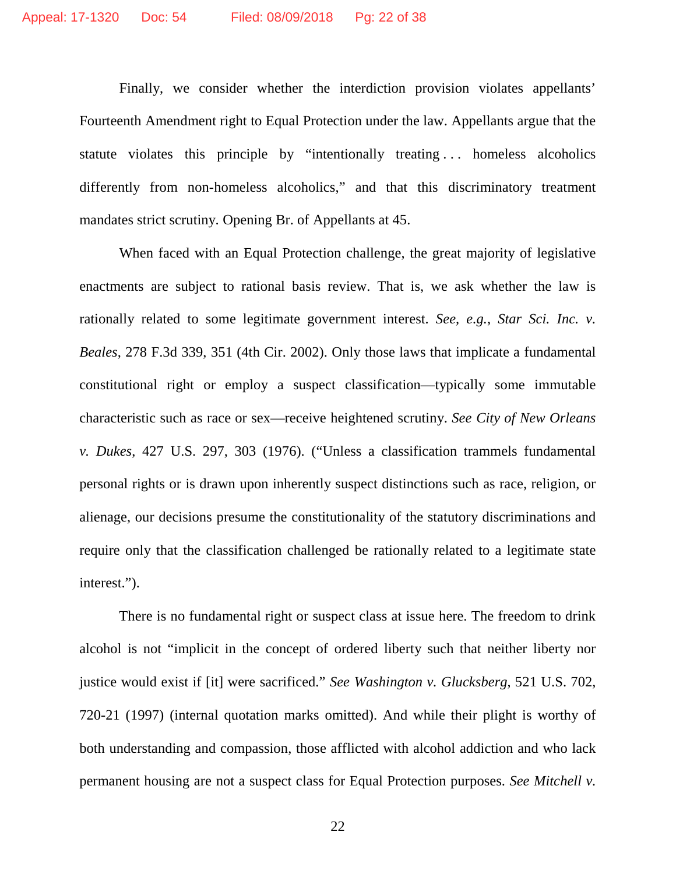Finally, we consider whether the interdiction provision violates appellants' Fourteenth Amendment right to Equal Protection under the law. Appellants argue that the statute violates this principle by "intentionally treating . . . homeless alcoholics differently from non-homeless alcoholics," and that this discriminatory treatment mandates strict scrutiny. Opening Br. of Appellants at 45.

When faced with an Equal Protection challenge, the great majority of legislative enactments are subject to rational basis review. That is, we ask whether the law is rationally related to some legitimate government interest. *See, e.g.*, *Star Sci. Inc. v. Beales*, 278 F.3d 339, 351 (4th Cir. 2002). Only those laws that implicate a fundamental constitutional right or employ a suspect classification—typically some immutable characteristic such as race or sex—receive heightened scrutiny. *See City of New Orleans v. Dukes*, 427 U.S. 297, 303 (1976). ("Unless a classification trammels fundamental personal rights or is drawn upon inherently suspect distinctions such as race, religion, or alienage, our decisions presume the constitutionality of the statutory discriminations and require only that the classification challenged be rationally related to a legitimate state interest.").

There is no fundamental right or suspect class at issue here. The freedom to drink alcohol is not "implicit in the concept of ordered liberty such that neither liberty nor justice would exist if [it] were sacrificed." *See Washington v. Glucksberg*, 521 U.S. 702, 720-21 (1997) (internal quotation marks omitted). And while their plight is worthy of both understanding and compassion, those afflicted with alcohol addiction and who lack permanent housing are not a suspect class for Equal Protection purposes. *See Mitchell v.*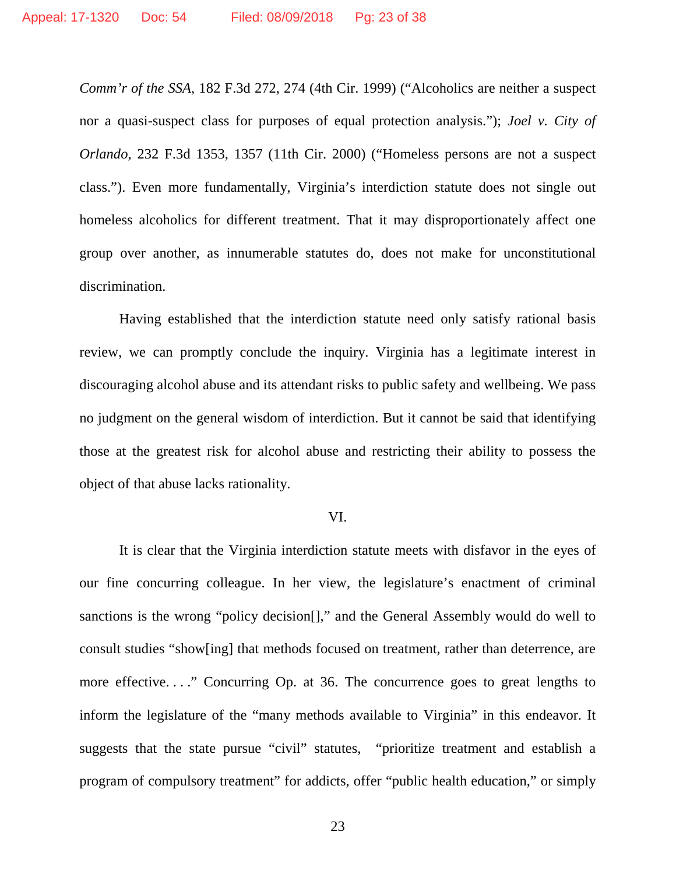*Comm'r of the SSA*, 182 F.3d 272, 274 (4th Cir. 1999) ("Alcoholics are neither a suspect nor a quasi-suspect class for purposes of equal protection analysis."); *Joel v. City of Orlando*, 232 F.3d 1353, 1357 (11th Cir. 2000) ("Homeless persons are not a suspect class."). Even more fundamentally, Virginia's interdiction statute does not single out homeless alcoholics for different treatment. That it may disproportionately affect one group over another, as innumerable statutes do, does not make for unconstitutional discrimination.

Having established that the interdiction statute need only satisfy rational basis review, we can promptly conclude the inquiry. Virginia has a legitimate interest in discouraging alcohol abuse and its attendant risks to public safety and wellbeing. We pass no judgment on the general wisdom of interdiction. But it cannot be said that identifying those at the greatest risk for alcohol abuse and restricting their ability to possess the object of that abuse lacks rationality.

### VI.

It is clear that the Virginia interdiction statute meets with disfavor in the eyes of our fine concurring colleague. In her view, the legislature's enactment of criminal sanctions is the wrong "policy decision[]," and the General Assembly would do well to consult studies "show[ing] that methods focused on treatment, rather than deterrence, are more effective...." Concurring Op. at 36. The concurrence goes to great lengths to inform the legislature of the "many methods available to Virginia" in this endeavor. It suggests that the state pursue "civil" statutes, "prioritize treatment and establish a program of compulsory treatment" for addicts, offer "public health education," or simply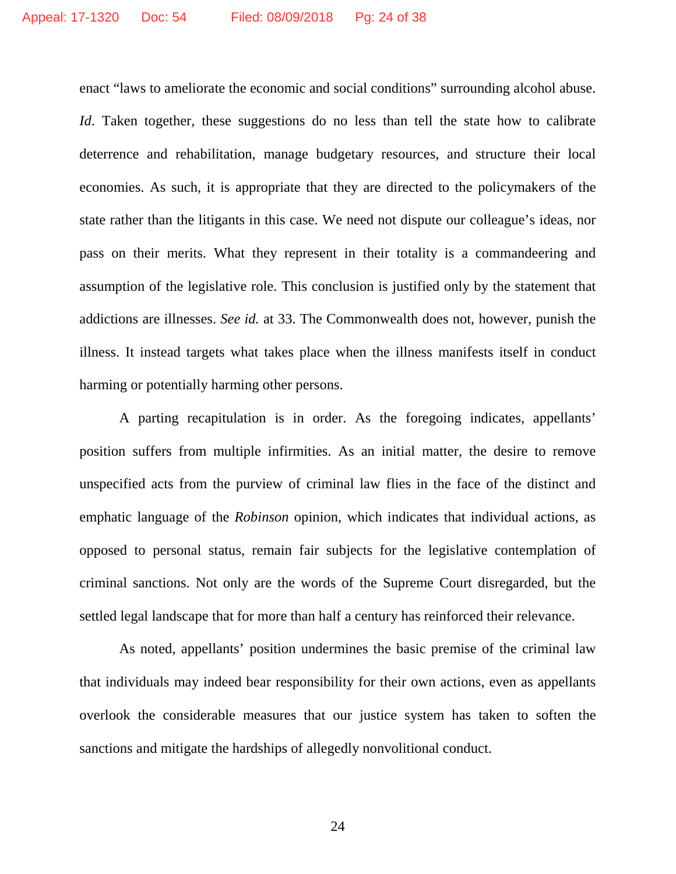enact "laws to ameliorate the economic and social conditions" surrounding alcohol abuse. *Id*. Taken together, these suggestions do no less than tell the state how to calibrate deterrence and rehabilitation, manage budgetary resources, and structure their local economies. As such, it is appropriate that they are directed to the policymakers of the state rather than the litigants in this case. We need not dispute our colleague's ideas, nor pass on their merits. What they represent in their totality is a commandeering and assumption of the legislative role. This conclusion is justified only by the statement that addictions are illnesses. *See id.* at 33. The Commonwealth does not, however, punish the illness. It instead targets what takes place when the illness manifests itself in conduct harming or potentially harming other persons.

A parting recapitulation is in order. As the foregoing indicates, appellants' position suffers from multiple infirmities. As an initial matter, the desire to remove unspecified acts from the purview of criminal law flies in the face of the distinct and emphatic language of the *Robinson* opinion, which indicates that individual actions, as opposed to personal status, remain fair subjects for the legislative contemplation of criminal sanctions. Not only are the words of the Supreme Court disregarded, but the settled legal landscape that for more than half a century has reinforced their relevance.

As noted, appellants' position undermines the basic premise of the criminal law that individuals may indeed bear responsibility for their own actions, even as appellants overlook the considerable measures that our justice system has taken to soften the sanctions and mitigate the hardships of allegedly nonvolitional conduct.

24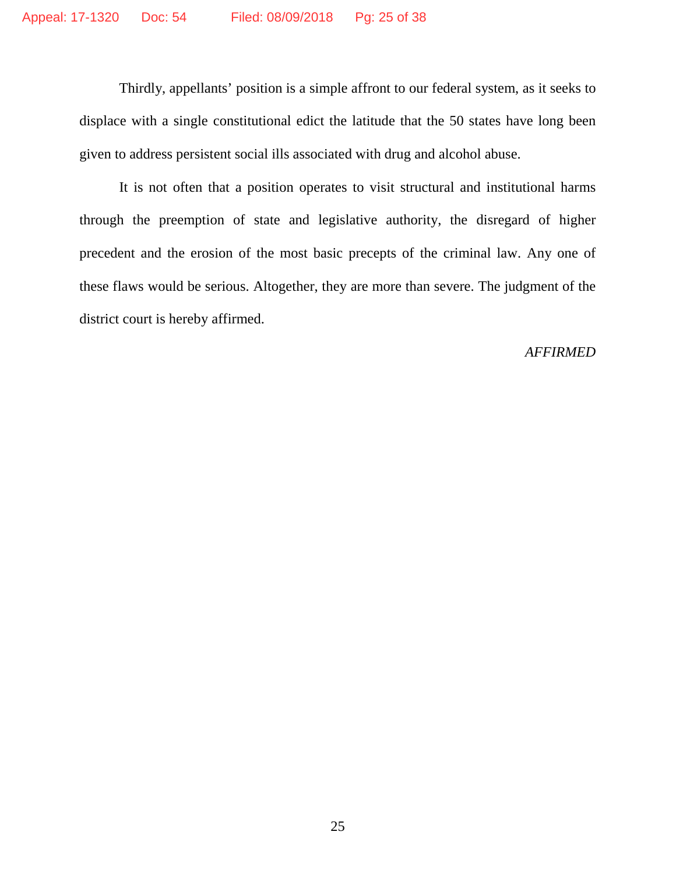Thirdly, appellants' position is a simple affront to our federal system, as it seeks to displace with a single constitutional edict the latitude that the 50 states have long been given to address persistent social ills associated with drug and alcohol abuse.

It is not often that a position operates to visit structural and institutional harms through the preemption of state and legislative authority, the disregard of higher precedent and the erosion of the most basic precepts of the criminal law. Any one of these flaws would be serious. Altogether, they are more than severe. The judgment of the district court is hereby affirmed.

## *AFFIRMED*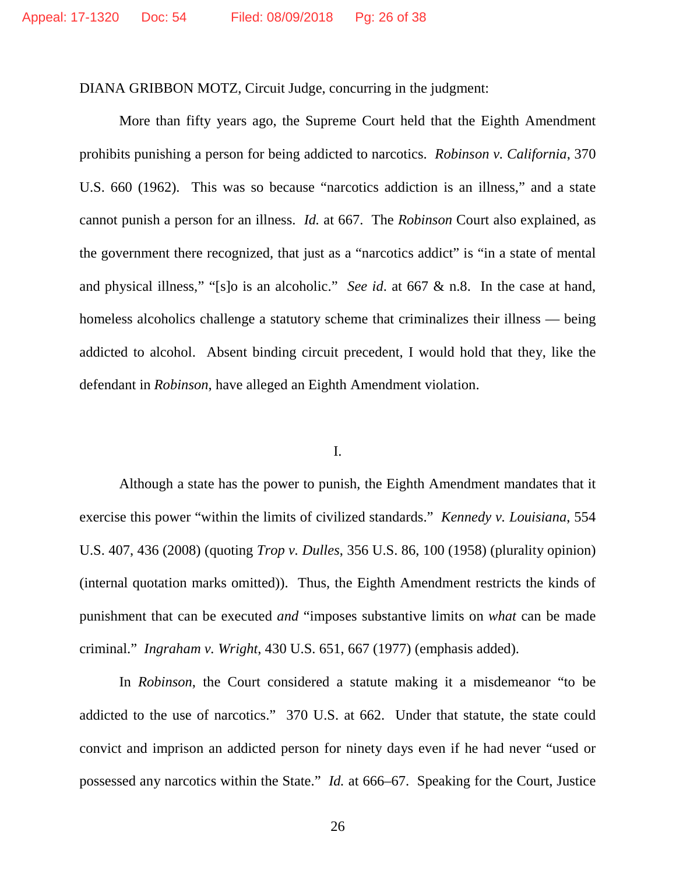DIANA GRIBBON MOTZ, Circuit Judge, concurring in the judgment:

More than fifty years ago, the Supreme Court held that the Eighth Amendment prohibits punishing a person for being addicted to narcotics. *Robinson v. California*, 370 U.S. 660 (1962). This was so because "narcotics addiction is an illness," and a state cannot punish a person for an illness. *Id.* at 667. The *Robinson* Court also explained, as the government there recognized, that just as a "narcotics addict" is "in a state of mental and physical illness," "[s]o is an alcoholic." *See id*. at 667 & n.8. In the case at hand, homeless alcoholics challenge a statutory scheme that criminalizes their illness — being addicted to alcohol. Absent binding circuit precedent, I would hold that they, like the defendant in *Robinson*, have alleged an Eighth Amendment violation.

## I.

Although a state has the power to punish, the Eighth Amendment mandates that it exercise this power "within the limits of civilized standards." *Kennedy v. Louisiana*, 554 U.S. 407, 436 (2008) (quoting *Trop v. Dulles*, 356 U.S. 86, 100 (1958) (plurality opinion) (internal quotation marks omitted)). Thus, the Eighth Amendment restricts the kinds of punishment that can be executed *and* "imposes substantive limits on *what* can be made criminal." *Ingraham v. Wright*, 430 U.S. 651, 667 (1977) (emphasis added).

In *Robinson*, the Court considered a statute making it a misdemeanor "to be addicted to the use of narcotics." 370 U.S. at 662. Under that statute, the state could convict and imprison an addicted person for ninety days even if he had never "used or possessed any narcotics within the State." *Id.* at 666–67. Speaking for the Court, Justice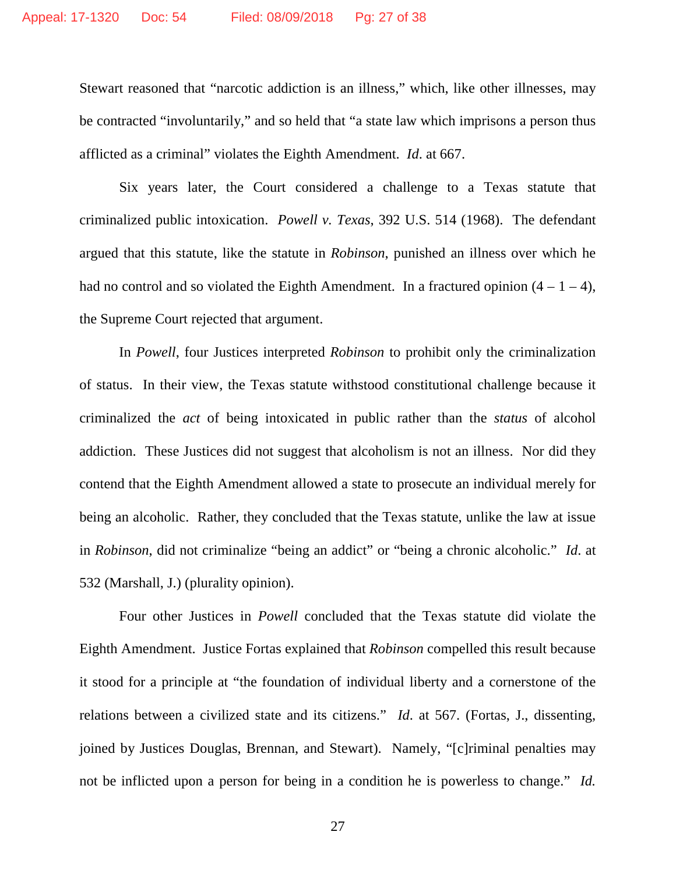Stewart reasoned that "narcotic addiction is an illness," which, like other illnesses, may be contracted "involuntarily," and so held that "a state law which imprisons a person thus afflicted as a criminal" violates the Eighth Amendment. *Id*. at 667.

Six years later, the Court considered a challenge to a Texas statute that criminalized public intoxication. *Powell v. Texas*, 392 U.S. 514 (1968). The defendant argued that this statute, like the statute in *Robinson*, punished an illness over which he had no control and so violated the Eighth Amendment. In a fractured opinion  $(4 - 1 - 4)$ , the Supreme Court rejected that argument.

In *Powell*, four Justices interpreted *Robinson* to prohibit only the criminalization of status. In their view, the Texas statute withstood constitutional challenge because it criminalized the *act* of being intoxicated in public rather than the *status* of alcohol addiction. These Justices did not suggest that alcoholism is not an illness. Nor did they contend that the Eighth Amendment allowed a state to prosecute an individual merely for being an alcoholic. Rather, they concluded that the Texas statute, unlike the law at issue in *Robinson*, did not criminalize "being an addict" or "being a chronic alcoholic." *Id*. at 532 (Marshall, J.) (plurality opinion).

Four other Justices in *Powell* concluded that the Texas statute did violate the Eighth Amendment. Justice Fortas explained that *Robinson* compelled this result because it stood for a principle at "the foundation of individual liberty and a cornerstone of the relations between a civilized state and its citizens." *Id*. at 567. (Fortas, J., dissenting, joined by Justices Douglas, Brennan, and Stewart). Namely, "[c]riminal penalties may not be inflicted upon a person for being in a condition he is powerless to change." *Id.*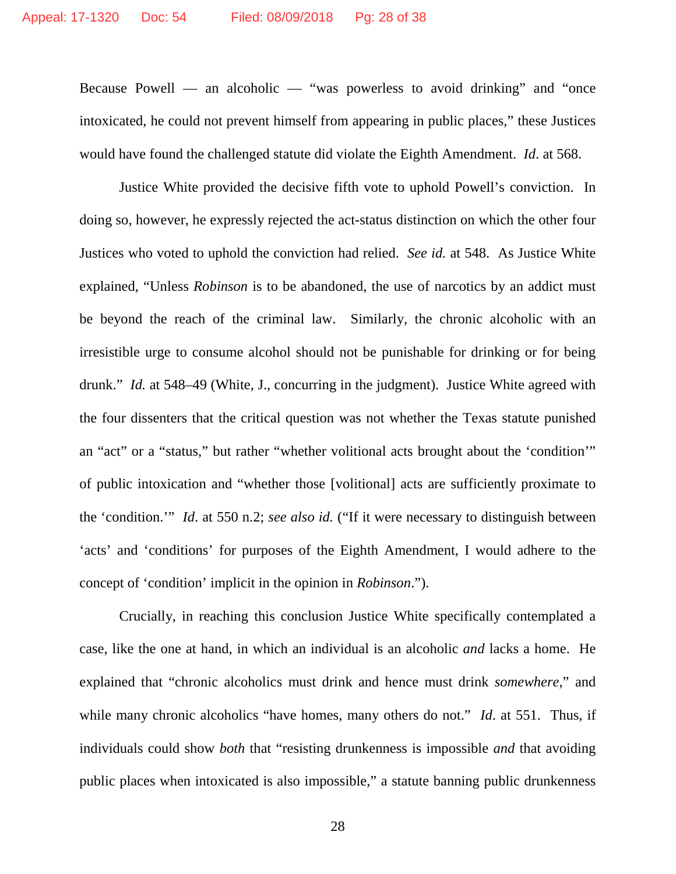Because Powell — an alcoholic — "was powerless to avoid drinking" and "once intoxicated, he could not prevent himself from appearing in public places," these Justices would have found the challenged statute did violate the Eighth Amendment. *Id*. at 568.

Justice White provided the decisive fifth vote to uphold Powell's conviction. In doing so, however, he expressly rejected the act-status distinction on which the other four Justices who voted to uphold the conviction had relied. *See id.* at 548. As Justice White explained, "Unless *Robinson* is to be abandoned, the use of narcotics by an addict must be beyond the reach of the criminal law. Similarly, the chronic alcoholic with an irresistible urge to consume alcohol should not be punishable for drinking or for being drunk." *Id.* at 548–49 (White, J., concurring in the judgment). Justice White agreed with the four dissenters that the critical question was not whether the Texas statute punished an "act" or a "status," but rather "whether volitional acts brought about the 'condition'" of public intoxication and "whether those [volitional] acts are sufficiently proximate to the 'condition.'" *Id*. at 550 n.2; *see also id.* ("If it were necessary to distinguish between 'acts' and 'conditions' for purposes of the Eighth Amendment, I would adhere to the concept of 'condition' implicit in the opinion in *Robinson*.").

Crucially, in reaching this conclusion Justice White specifically contemplated a case, like the one at hand, in which an individual is an alcoholic *and* lacks a home. He explained that "chronic alcoholics must drink and hence must drink *somewhere*," and while many chronic alcoholics "have homes, many others do not." *Id.* at 551. Thus, if individuals could show *both* that "resisting drunkenness is impossible *and* that avoiding public places when intoxicated is also impossible," a statute banning public drunkenness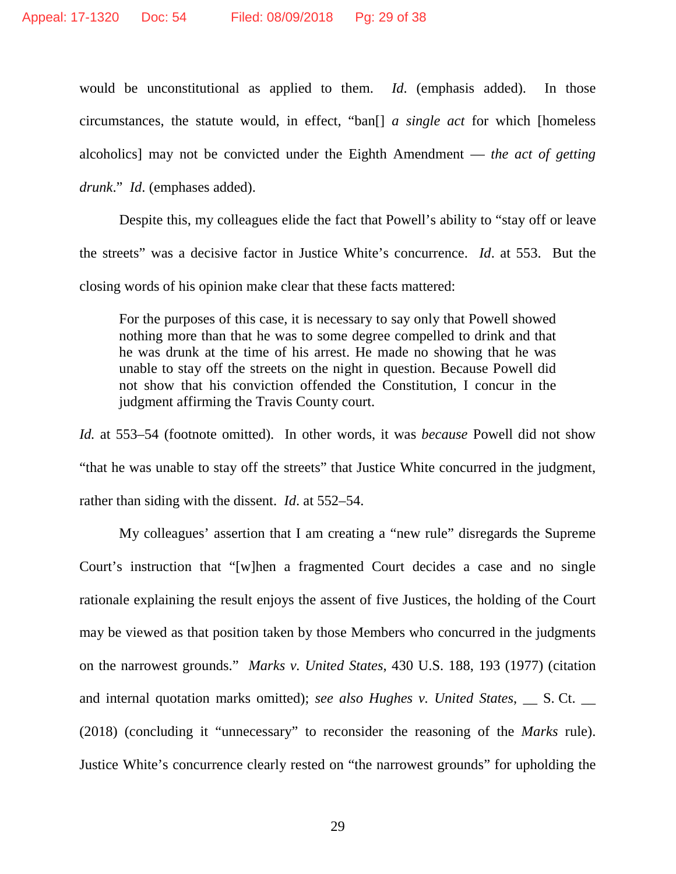would be unconstitutional as applied to them. *Id*. (emphasis added). In those circumstances, the statute would, in effect, "ban[] *a single act* for which [homeless alcoholics] may not be convicted under the Eighth Amendment — *the act of getting drunk*." *Id*. (emphases added).

Despite this, my colleagues elide the fact that Powell's ability to "stay off or leave the streets" was a decisive factor in Justice White's concurrence. *Id*. at 553. But the closing words of his opinion make clear that these facts mattered:

For the purposes of this case, it is necessary to say only that Powell showed nothing more than that he was to some degree compelled to drink and that he was drunk at the time of his arrest. He made no showing that he was unable to stay off the streets on the night in question. Because Powell did not show that his conviction offended the Constitution, I concur in the judgment affirming the Travis County court.

*Id.* at 553–54 (footnote omitted). In other words, it was *because* Powell did not show "that he was unable to stay off the streets" that Justice White concurred in the judgment, rather than siding with the dissent. *Id*. at 552–54.

My colleagues' assertion that I am creating a "new rule" disregards the Supreme Court's instruction that "[w]hen a fragmented Court decides a case and no single rationale explaining the result enjoys the assent of five Justices, the holding of the Court may be viewed as that position taken by those Members who concurred in the judgments on the narrowest grounds." *Marks v. United States*, 430 U.S. 188, 193 (1977) (citation and internal quotation marks omitted); *see also Hughes v. United States*,  $\_\_$  S. Ct.  $\_\_$ (2018) (concluding it "unnecessary" to reconsider the reasoning of the *Marks* rule). Justice White's concurrence clearly rested on "the narrowest grounds" for upholding the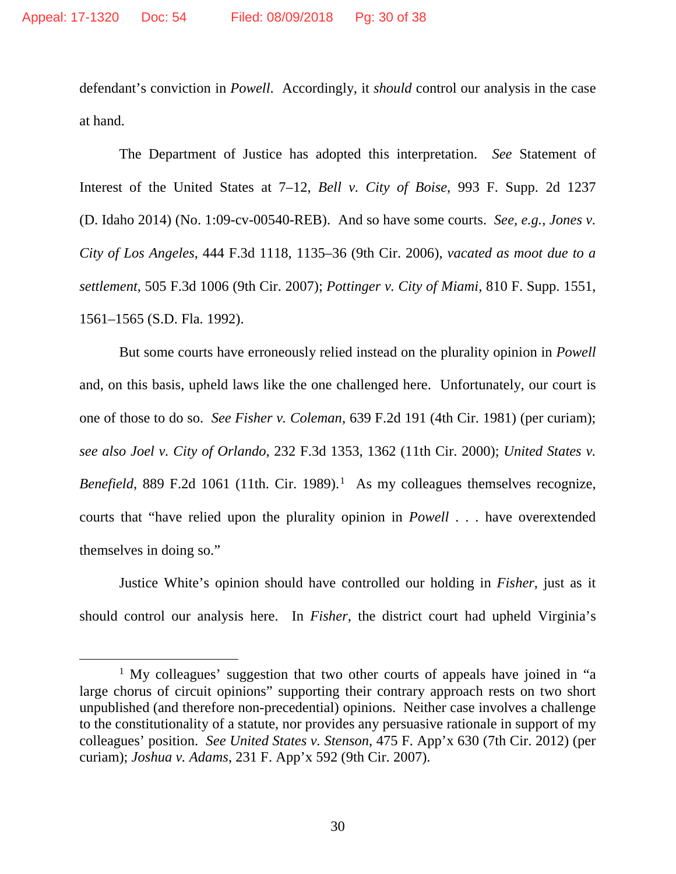defendant's conviction in *Powell*. Accordingly, it *should* control our analysis in the case at hand.

The Department of Justice has adopted this interpretation. *See* Statement of Interest of the United States at 7–12, *Bell v. City of Boise*, 993 F. Supp. 2d 1237 (D. Idaho 2014) (No. 1:09-cv-00540-REB). And so have some courts. *See, e.g.*, *Jones v. City of Los Angeles*, 444 F.3d 1118, 1135–36 (9th Cir. 2006), *vacated as moot due to a settlement*, 505 F.3d 1006 (9th Cir. 2007); *Pottinger v. City of Miami,* 810 F. Supp. 1551, 1561–1565 (S.D. Fla. 1992).

But some courts have erroneously relied instead on the plurality opinion in *Powell* and, on this basis, upheld laws like the one challenged here. Unfortunately, our court is one of those to do so. *See Fisher v. Coleman*, 639 F.2d 191 (4th Cir. 1981) (per curiam); *see also Joel v. City of Orlando*, 232 F.3d 1353, 1362 (11th Cir. 2000); *United States v.*  Benefield, 889 F.2d [1](#page-29-0)061 (11th. Cir. 1989).<sup>1</sup> As my colleagues themselves recognize, courts that "have relied upon the plurality opinion in *Powell* . . . have overextended themselves in doing so."

Justice White's opinion should have controlled our holding in *Fisher*, just as it should control our analysis here. In *Fisher*, the district court had upheld Virginia's

<span id="page-29-0"></span><sup>&</sup>lt;sup>1</sup> My colleagues' suggestion that two other courts of appeals have joined in "a large chorus of circuit opinions" supporting their contrary approach rests on two short unpublished (and therefore non-precedential) opinions. Neither case involves a challenge to the constitutionality of a statute, nor provides any persuasive rationale in support of my colleagues' position. *See United States v. Stenson*, 475 F. App'x 630 (7th Cir. 2012) (per curiam); *Joshua v. Adams*, 231 F. App'x 592 (9th Cir. 2007).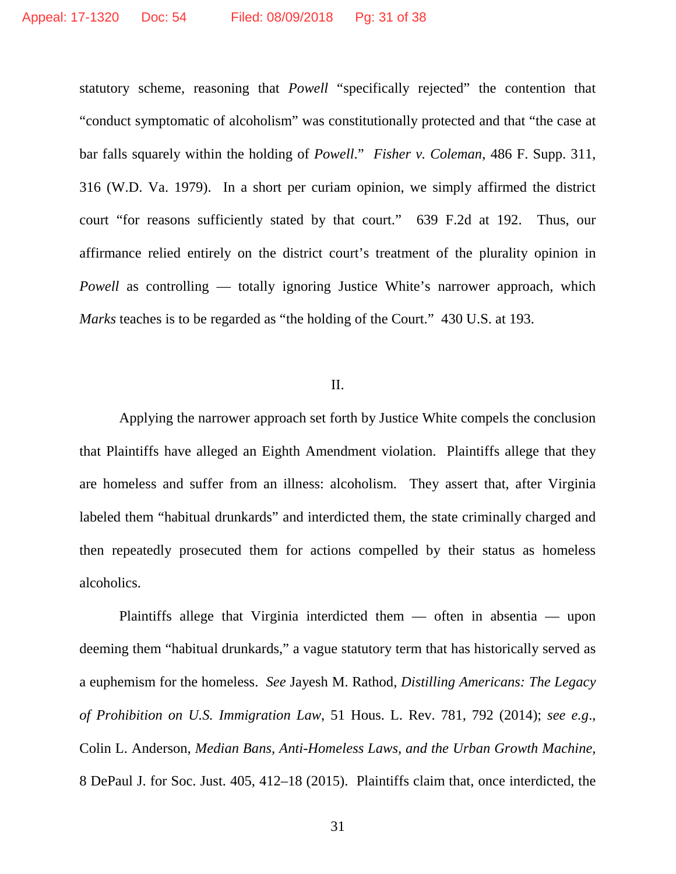statutory scheme, reasoning that *Powell* "specifically rejected" the contention that "conduct symptomatic of alcoholism" was constitutionally protected and that "the case at bar falls squarely within the holding of *Powell*." *Fisher v. Coleman*, 486 F. Supp. 311, 316 (W.D. Va. 1979). In a short per curiam opinion, we simply affirmed the district court "for reasons sufficiently stated by that court." 639 F.2d at 192. Thus, our affirmance relied entirely on the district court's treatment of the plurality opinion in *Powell* as controlling — totally ignoring Justice White's narrower approach, which *Marks* teaches is to be regarded as "the holding of the Court." 430 U.S. at 193.

## II.

Applying the narrower approach set forth by Justice White compels the conclusion that Plaintiffs have alleged an Eighth Amendment violation. Plaintiffs allege that they are homeless and suffer from an illness: alcoholism. They assert that, after Virginia labeled them "habitual drunkards" and interdicted them, the state criminally charged and then repeatedly prosecuted them for actions compelled by their status as homeless alcoholics.

Plaintiffs allege that Virginia interdicted them — often in absentia — upon deeming them "habitual drunkards," a vague statutory term that has historically served as a euphemism for the homeless. *See* Jayesh M. Rathod, *Distilling Americans: The Legacy of Prohibition on U.S. Immigration Law*, 51 Hous. L. Rev. 781, 792 (2014); *see e.g*., Colin L. Anderson, *Median Bans, Anti-Homeless Laws, and the Urban Growth Machine*, 8 DePaul J. for Soc. Just. 405, 412–18 (2015). Plaintiffs claim that, once interdicted, the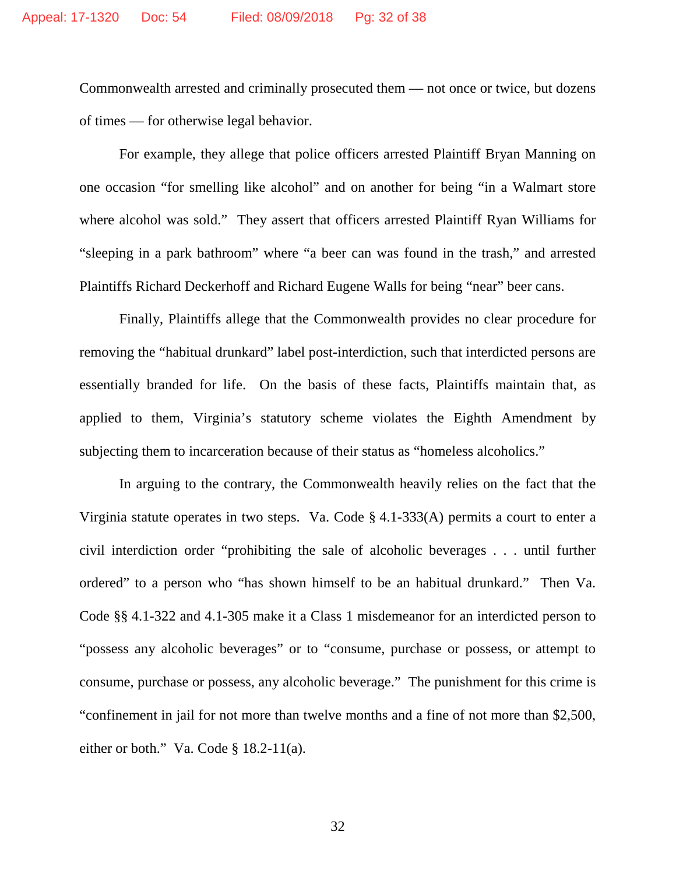Commonwealth arrested and criminally prosecuted them — not once or twice, but dozens of times — for otherwise legal behavior.

For example, they allege that police officers arrested Plaintiff Bryan Manning on one occasion "for smelling like alcohol" and on another for being "in a Walmart store where alcohol was sold." They assert that officers arrested Plaintiff Ryan Williams for "sleeping in a park bathroom" where "a beer can was found in the trash," and arrested Plaintiffs Richard Deckerhoff and Richard Eugene Walls for being "near" beer cans.

Finally, Plaintiffs allege that the Commonwealth provides no clear procedure for removing the "habitual drunkard" label post-interdiction, such that interdicted persons are essentially branded for life. On the basis of these facts, Plaintiffs maintain that, as applied to them, Virginia's statutory scheme violates the Eighth Amendment by subjecting them to incarceration because of their status as "homeless alcoholics."

In arguing to the contrary, the Commonwealth heavily relies on the fact that the Virginia statute operates in two steps. Va. Code § 4.1-333(A) permits a court to enter a civil interdiction order "prohibiting the sale of alcoholic beverages . . . until further ordered" to a person who "has shown himself to be an habitual drunkard." Then Va. Code §§ 4.1-322 and 4.1-305 make it a Class 1 misdemeanor for an interdicted person to "possess any alcoholic beverages" or to "consume, purchase or possess, or attempt to consume, purchase or possess, any alcoholic beverage." The punishment for this crime is "confinement in jail for not more than twelve months and a fine of not more than \$2,500, either or both." Va. Code  $\S$  18.2-11(a).

32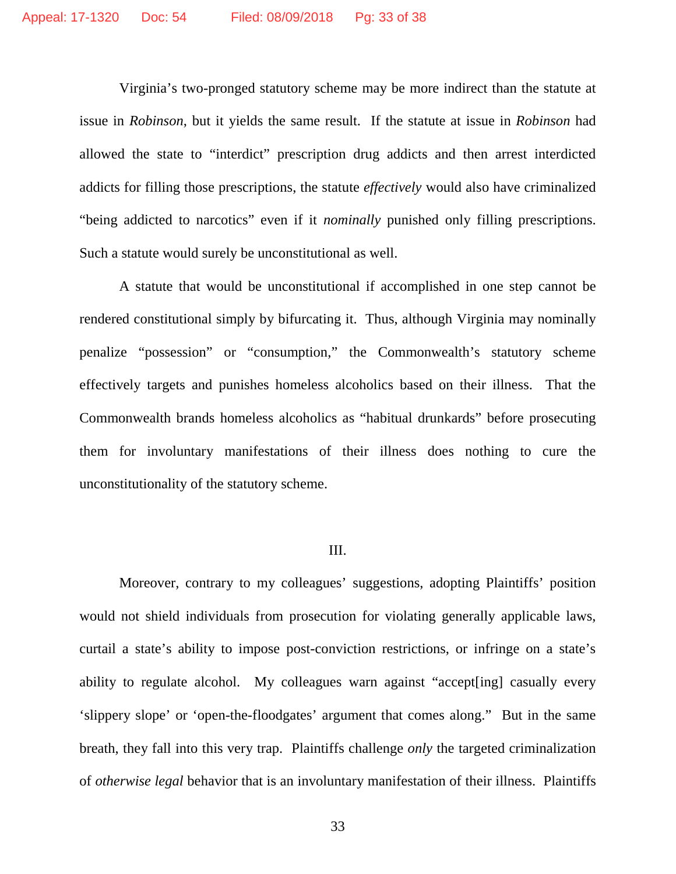Virginia's two-pronged statutory scheme may be more indirect than the statute at issue in *Robinson*, but it yields the same result. If the statute at issue in *Robinson* had allowed the state to "interdict" prescription drug addicts and then arrest interdicted addicts for filling those prescriptions, the statute *effectively* would also have criminalized "being addicted to narcotics" even if it *nominally* punished only filling prescriptions. Such a statute would surely be unconstitutional as well.

A statute that would be unconstitutional if accomplished in one step cannot be rendered constitutional simply by bifurcating it. Thus, although Virginia may nominally penalize "possession" or "consumption," the Commonwealth's statutory scheme effectively targets and punishes homeless alcoholics based on their illness. That the Commonwealth brands homeless alcoholics as "habitual drunkards" before prosecuting them for involuntary manifestations of their illness does nothing to cure the unconstitutionality of the statutory scheme.

#### III.

Moreover, contrary to my colleagues' suggestions, adopting Plaintiffs' position would not shield individuals from prosecution for violating generally applicable laws, curtail a state's ability to impose post-conviction restrictions, or infringe on a state's ability to regulate alcohol. My colleagues warn against "accept[ing] casually every 'slippery slope' or 'open-the-floodgates' argument that comes along." But in the same breath, they fall into this very trap. Plaintiffs challenge *only* the targeted criminalization of *otherwise legal* behavior that is an involuntary manifestation of their illness. Plaintiffs

33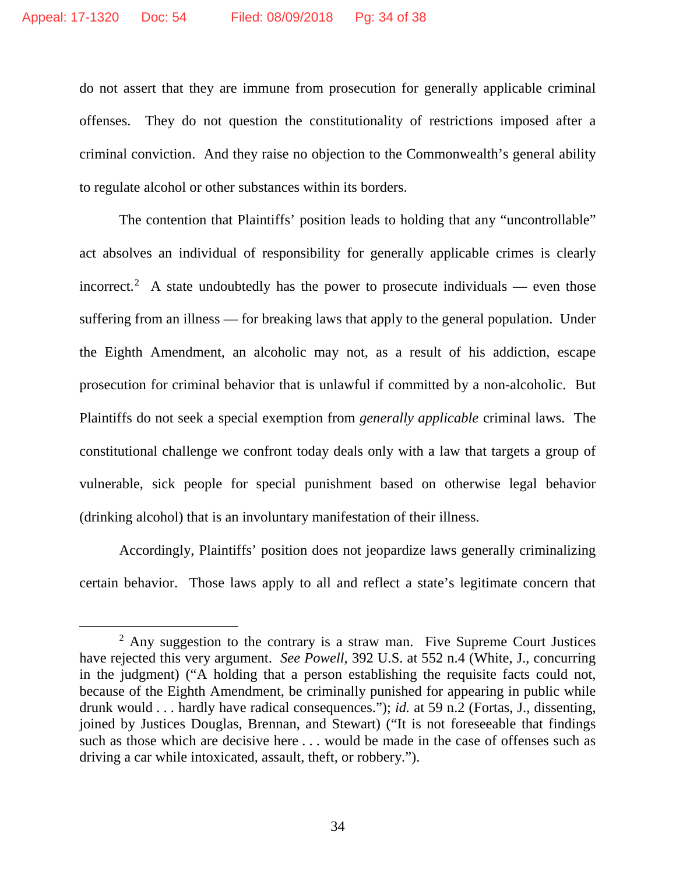do not assert that they are immune from prosecution for generally applicable criminal offenses. They do not question the constitutionality of restrictions imposed after a criminal conviction. And they raise no objection to the Commonwealth's general ability to regulate alcohol or other substances within its borders.

The contention that Plaintiffs' position leads to holding that any "uncontrollable" act absolves an individual of responsibility for generally applicable crimes is clearly incorrect.<sup>[2](#page-33-0)</sup> A state undoubtedly has the power to prosecute individuals — even those suffering from an illness — for breaking laws that apply to the general population. Under the Eighth Amendment, an alcoholic may not, as a result of his addiction, escape prosecution for criminal behavior that is unlawful if committed by a non-alcoholic. But Plaintiffs do not seek a special exemption from *generally applicable* criminal laws. The constitutional challenge we confront today deals only with a law that targets a group of vulnerable, sick people for special punishment based on otherwise legal behavior (drinking alcohol) that is an involuntary manifestation of their illness.

Accordingly, Plaintiffs' position does not jeopardize laws generally criminalizing certain behavior. Those laws apply to all and reflect a state's legitimate concern that

<span id="page-33-0"></span> $2$  Any suggestion to the contrary is a straw man. Five Supreme Court Justices have rejected this very argument. *See Powell*, 392 U.S. at 552 n.4 (White, J., concurring in the judgment) ("A holding that a person establishing the requisite facts could not, because of the Eighth Amendment, be criminally punished for appearing in public while drunk would . . . hardly have radical consequences."); *id.* at 59 n.2 (Fortas, J., dissenting, joined by Justices Douglas, Brennan, and Stewart) ("It is not foreseeable that findings such as those which are decisive here . . . would be made in the case of offenses such as driving a car while intoxicated, assault, theft, or robbery.").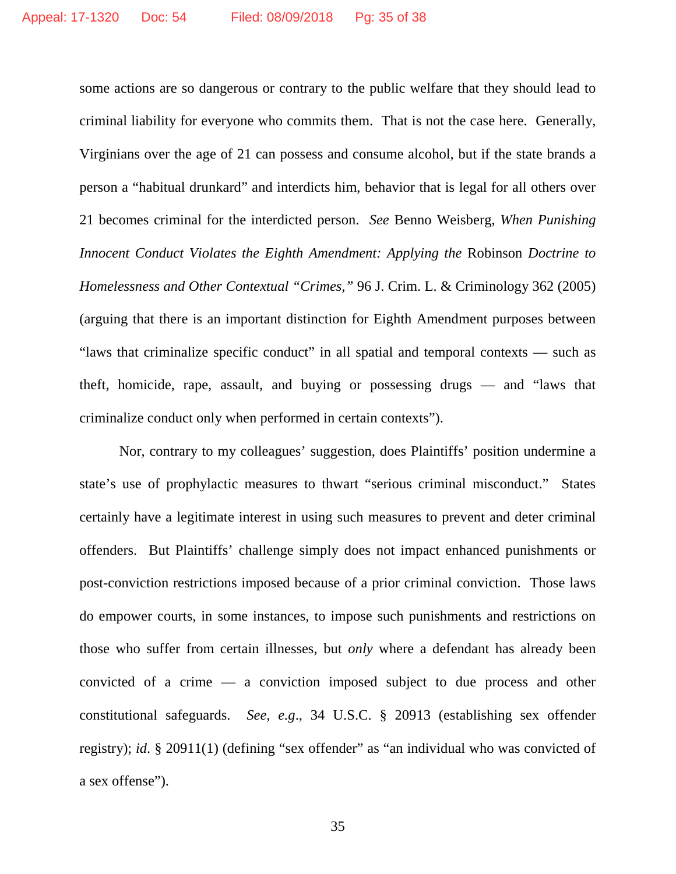some actions are so dangerous or contrary to the public welfare that they should lead to criminal liability for everyone who commits them. That is not the case here. Generally, Virginians over the age of 21 can possess and consume alcohol, but if the state brands a person a "habitual drunkard" and interdicts him, behavior that is legal for all others over 21 becomes criminal for the interdicted person. *See* Benno Weisberg, *When Punishing Innocent Conduct Violates the Eighth Amendment: Applying the Robinson Doctrine to Homelessness and Other Contextual "Crimes,"* 96 J. Crim. L. & Criminology 362 (2005) (arguing that there is an important distinction for Eighth Amendment purposes between "laws that criminalize specific conduct" in all spatial and temporal contexts — such as theft, homicide, rape, assault, and buying or possessing drugs — and "laws that criminalize conduct only when performed in certain contexts").

Nor, contrary to my colleagues' suggestion, does Plaintiffs' position undermine a state's use of prophylactic measures to thwart "serious criminal misconduct." States certainly have a legitimate interest in using such measures to prevent and deter criminal offenders. But Plaintiffs' challenge simply does not impact enhanced punishments or post-conviction restrictions imposed because of a prior criminal conviction. Those laws do empower courts, in some instances, to impose such punishments and restrictions on those who suffer from certain illnesses, but *only* where a defendant has already been convicted of a crime — a conviction imposed subject to due process and other constitutional safeguards. *See, e.g*., 34 U.S.C. § 20913 (establishing sex offender registry); *id*. § 20911(1) (defining "sex offender" as "an individual who was convicted of a sex offense").

35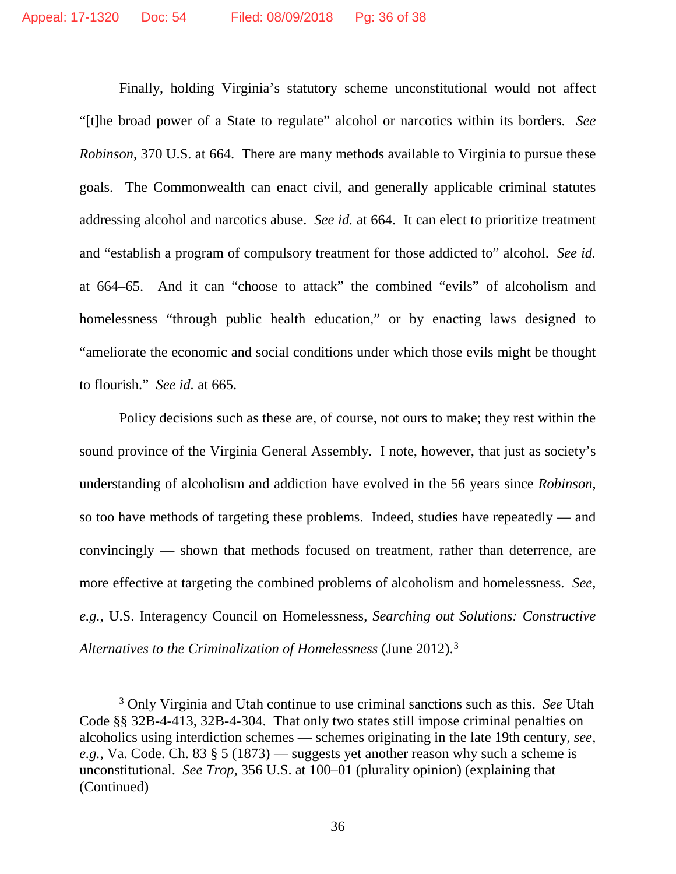Finally, holding Virginia's statutory scheme unconstitutional would not affect "[t]he broad power of a State to regulate" alcohol or narcotics within its borders. *See Robinson*, 370 U.S. at 664. There are many methods available to Virginia to pursue these goals. The Commonwealth can enact civil, and generally applicable criminal statutes addressing alcohol and narcotics abuse. *See id.* at 664. It can elect to prioritize treatment and "establish a program of compulsory treatment for those addicted to" alcohol. *See id.* at 664–65. And it can "choose to attack" the combined "evils" of alcoholism and homelessness "through public health education," or by enacting laws designed to "ameliorate the economic and social conditions under which those evils might be thought to flourish." *See id.* at 665.

Policy decisions such as these are, of course, not ours to make; they rest within the sound province of the Virginia General Assembly. I note, however, that just as society's understanding of alcoholism and addiction have evolved in the 56 years since *Robinson*, so too have methods of targeting these problems. Indeed, studies have repeatedly — and convincingly — shown that methods focused on treatment, rather than deterrence, are more effective at targeting the combined problems of alcoholism and homelessness. *See, e.g.*, U.S. Interagency Council on Homelessness, *Searching out Solutions: Constructive Alternatives to the Criminalization of Homelessness* (June 2012).[3](#page-35-0)

<span id="page-35-0"></span> <sup>3</sup> Only Virginia and Utah continue to use criminal sanctions such as this. *See* Utah Code §§ 32B-4-413, 32B-4-304. That only two states still impose criminal penalties on alcoholics using interdiction schemes — schemes originating in the late 19th century, *see, e.g.*, Va. Code. Ch. 83 § 5 (1873) — suggests yet another reason why such a scheme is unconstitutional. *See Trop*, 356 U.S. at 100–01 (plurality opinion) (explaining that (Continued)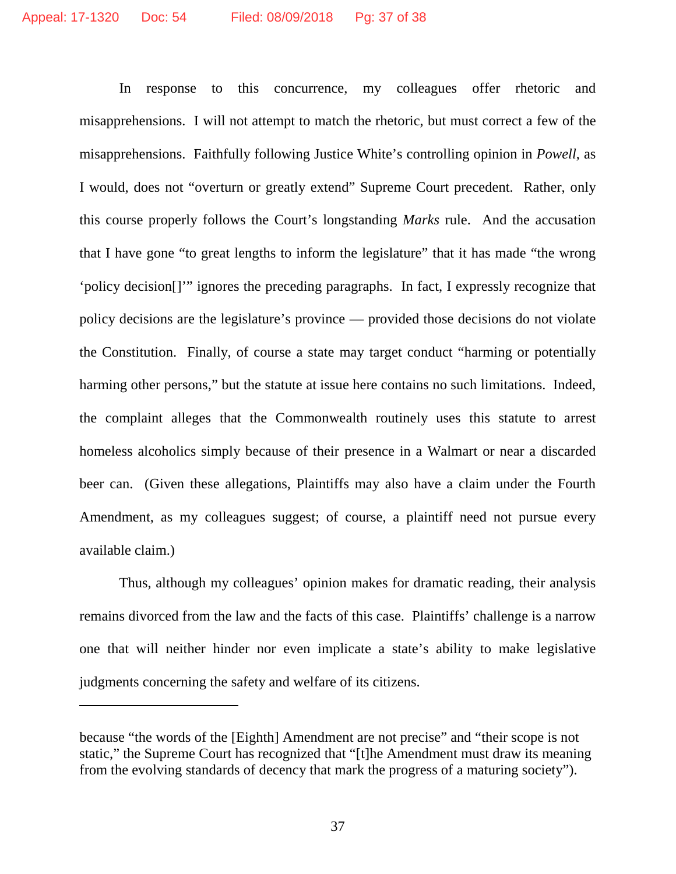In response to this concurrence, my colleagues offer rhetoric and misapprehensions. I will not attempt to match the rhetoric, but must correct a few of the misapprehensions. Faithfully following Justice White's controlling opinion in *Powell*, as I would, does not "overturn or greatly extend" Supreme Court precedent. Rather, only this course properly follows the Court's longstanding *Marks* rule. And the accusation that I have gone "to great lengths to inform the legislature" that it has made "the wrong 'policy decision[]'" ignores the preceding paragraphs. In fact, I expressly recognize that policy decisions are the legislature's province — provided those decisions do not violate the Constitution. Finally, of course a state may target conduct "harming or potentially harming other persons," but the statute at issue here contains no such limitations. Indeed, the complaint alleges that the Commonwealth routinely uses this statute to arrest homeless alcoholics simply because of their presence in a Walmart or near a discarded beer can. (Given these allegations, Plaintiffs may also have a claim under the Fourth Amendment, as my colleagues suggest; of course, a plaintiff need not pursue every available claim.)

Thus, although my colleagues' opinion makes for dramatic reading, their analysis remains divorced from the law and the facts of this case. Plaintiffs' challenge is a narrow one that will neither hinder nor even implicate a state's ability to make legislative judgments concerning the safety and welfare of its citizens.

 $\overline{a}$ 

because "the words of the [Eighth] Amendment are not precise" and "their scope is not static," the Supreme Court has recognized that "[t]he Amendment must draw its meaning from the evolving standards of decency that mark the progress of a maturing society").